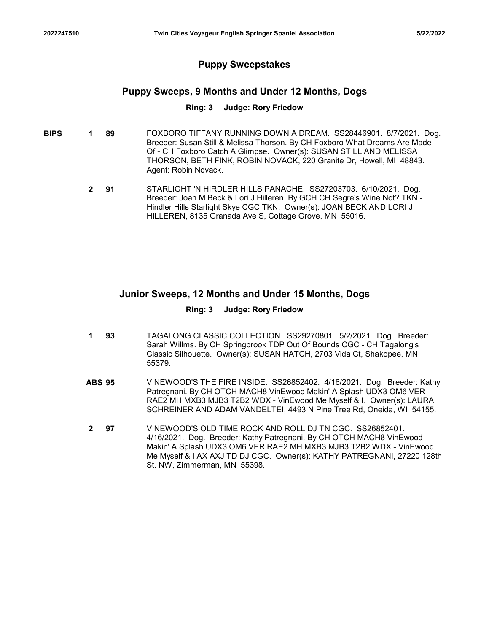# Puppy Sweepstakes

# Puppy Sweeps, 9 Months and Under 12 Months, Dogs

#### Ring: 3 Judge: Rory Friedow

- **BIPS 1 89** FOXBORO TIFFANY RUNNING DOWN A DREAM. SS28446901. 8/7/2021. Dog. Breeder: Susan Still & Melissa Thorson. By CH Foxboro What Dreams Are Made Of - CH Foxboro Catch A Glimpse. Owner(s): SUSAN STILL AND MELISSA THORSON, BETH FINK, ROBIN NOVACK, 220 Granite Dr, Howell, MI 48843. Agent: Robin Novack.
	- **2 91** STARLIGHT 'N HIRDLER HILLS PANACHE. SS27203703. 6/10/2021. Dog. Breeder: Joan M Beck & Lori J Hilleren. By GCH CH Segre's Wine Not? TKN - Hindler Hills Starlight Skye CGC TKN. Owner(s): JOAN BECK AND LORI J HILLEREN, 8135 Granada Ave S, Cottage Grove, MN 55016.

## Junior Sweeps, 12 Months and Under 15 Months, Dogs

#### Ring: 3 Judge: Rory Friedow

- **1 93** TAGALONG CLASSIC COLLECTION. SS29270801. 5/2/2021. Dog. Breeder: Sarah Willms. By CH Springbrook TDP Out Of Bounds CGC - CH Tagalong's Classic Silhouette. Owner(s): SUSAN HATCH, 2703 Vida Ct, Shakopee, MN 55379.
- 91 STARLIGHT IN HIRDLER HILLS PANACHE. SS27203703. 6/10/2021. Dog.<br>
Breeder: Joan M Beck & Lori J Hilleren. By GCH CH Segre's Wine Not? TKN<br>
Hindler Hills Starlight Skye CGC TKN. Owner(s): JOAN BECK AND LORI J<br>
HILLEREN, 8 Patregnani. By CH OTCH MACH8 VinEwood Makin' A Splash UDX3 OM6 VER RAE2 MH MXB3 MJB3 T2B2 WDX - VinEwood Me Myself & I. Owner(s): LAURA SCHREINER AND ADAM VANDELTEI, 4493 N Pine Tree Rd, Oneida, WI 54155.
- 97 VINEWOOD'S OLD TIME ROCK AND ROLL DJ TN CGC. SS26852401. 4/16/2021. Dog. Breeder: Kathy Patregnani. By CH OTCH MACH8 VinEwood Makin' A Splash UDX3 OM6 VER RAE2 MH MXB3 MJB3 T2B2 WDX - VinEwood Me Myself & I AX AXJ TD DJ CGC. Owner(s): KATHY PATREGNANI, 27220 128th St. NW, Zimmerman, MN 55398. 2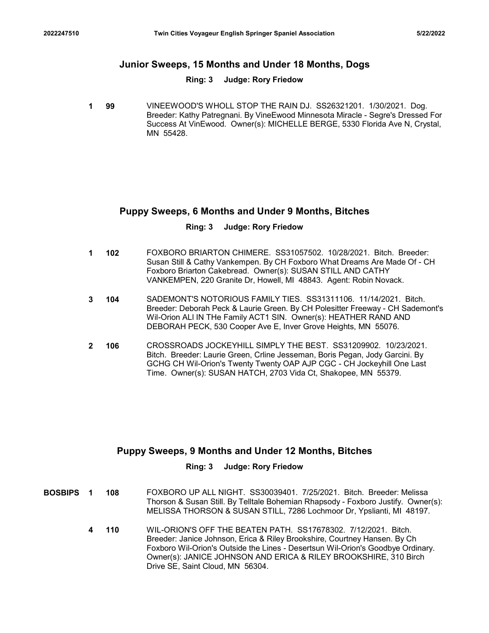# 2022247510 Twin Cities Voyageur English Springer Spaniel Association 5/22/2022<br>Junior Sweeps, 15 Months and Under 18 Months, Dogs<br>Ring: 3 Judge: Rory Friedow Junior Sweeps, 15 Months and Under 18 Months, Dogs

#### Ring: 3 Judge: Rory Friedow

**1 99** VINEEWOOD'S WHOLL STOP THE RAIN DJ. SS26321201. 1/30/2021. Dog. Breeder: Kathy Patregnani. By VineEwood Minnesota Miracle - Segre's Dressed For Success At VinEwood. Owner(s): MICHELLE BERGE, 5330 Florida Ave N, Crystal, MN 55428.

# Puppy Sweeps, 6 Months and Under 9 Months, Bitches

#### Ring: 3 Judge: Rory Friedow

- 1 102 FOXBORO BRIARTON CHIMERE. SS31057502. 10/28/2021. Bitch. Breeder: Susan Still & Cathy Vankempen. By CH Foxboro What Dreams Are Made Of - CH Foxboro Briarton Cakebread. Owner(s): SUSAN STILL AND CATHY VANKEMPEN, 220 Granite Dr, Howell, MI 48843. Agent: Robin Novack.
- 104 SADEMONT'S NOTORIOUS FAMILY TIES. SS31311106. 11/14/2021. Bitch. 3 Breeder: Deborah Peck & Laurie Green. By CH Polesitter Freeway - CH Sademont's Wil-Orion ALl IN THe Family ACT1 SIN. Owner(s): HEATHER RAND AND DEBORAH PECK, 530 Cooper Ave E, Inver Grove Heights, MN 55076.
- 106 CROSSROADS JOCKEYHILL SIMPLY THE BEST. SS31209902. 10/23/2021. 2 Bitch. Breeder: Laurie Green, Crline Jesseman, Boris Pegan, Jody Garcini. By GCHG CH Wil-Orion's Twenty Twenty OAP AJP CGC - CH Jockeyhill One Last Time. Owner(s): SUSAN HATCH, 2703 Vida Ct, Shakopee, MN 55379.

# Puppy Sweeps, 9 Months and Under 12 Months, Bitches

### Ring: 3 Judge: Rory Friedow

- **BOSBIPS 1 108** FOXBORO UP ALL NIGHT. SS30039401. 7/25/2021. Bitch. Breeder: Melissa Thorson & Susan Still. By Telltale Bohemian Rhapsody - Foxboro Justify. Owner(s): MELISSA THORSON & SUSAN STILL, 7286 Lochmoor Dr, Ypslianti, MI 48197.
	- 110 WIL-ORION'S OFF THE BEATEN PATH. SS17678302. 7/12/2021. Bitch. Breeder: Janice Johnson, Erica & Riley Brookshire, Courtney Hansen. By Ch Foxboro Wil-Orion's Outside the Lines - Desertsun Wil-Orion's Goodbye Ordinary. Owner(s): JANICE JOHNSON AND ERICA & RILEY BROOKSHIRE, 310 Birch Drive SE, Saint Cloud, MN 56304. 4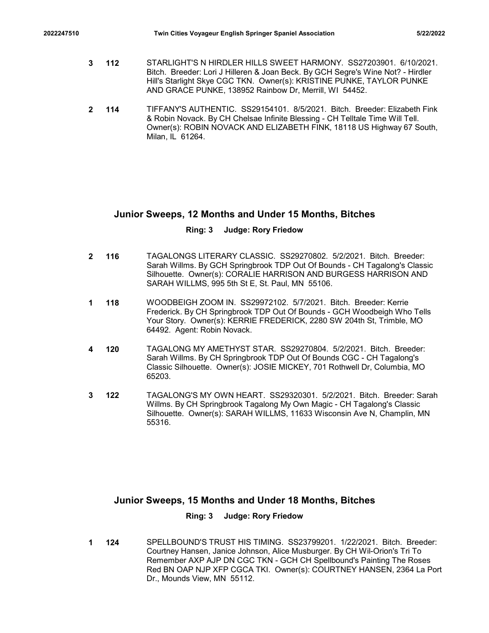- 2022247510 Twin Cities Voyageur English Springer Spaniel Association 5/22/2022<br>3 TARLIGHT'S N HIRDLER HILLS SWEET HARMONY. SS27203901. 6/10/2021.<br>Bitch. Breeder: Lori J Hilleren & Joan Beck. By GCH Segre's Wine Not? Hird 112 STARLIGHT'S N HIRDLER HILLS SWEET HARMONY. SS27203901. 6/10/2021. 3 Bitch. Breeder: Lori J Hilleren & Joan Beck. By GCH Segre's Wine Not? - Hirdler Hill's Starlight Skye CGC TKN. Owner(s): KRISTINE PUNKE, TAYLOR PUNKE AND GRACE PUNKE, 138952 Rainbow Dr, Merrill, WI 54452.
	- 114 TIFFANY'S AUTHENTIC. SS29154101. 8/5/2021. Bitch. Breeder: Elizabeth Fink 2 & Robin Novack. By CH Chelsae Infinite Blessing - CH Telltale Time Will Tell. Owner(s): ROBIN NOVACK AND ELIZABETH FINK, 18118 US Highway 67 South, Milan, IL 61264.

# Junior Sweeps, 12 Months and Under 15 Months, Bitches

#### Ring: 3 Judge: Rory Friedow

- 116 TAGALONGS LITERARY CLASSIC. SS29270802. 5/2/2021. Bitch. Breeder: 2 Sarah Willms. By GCH Springbrook TDP Out Of Bounds - CH Tagalong's Classic Silhouette. Owner(s): CORALIE HARRISON AND BURGESS HARRISON AND SARAH WILLMS, 995 5th St E, St. Paul, MN 55106.
- **1 118** WOODBEIGH ZOOM IN. SS29972102. 5/7/2021. Bitch. Breeder: Kerrie **And A** Frederick. By CH Springbrook TDP Out Of Bounds - GCH Woodbeigh Who Tells Your Story. Owner(s): KERRIE FREDERICK, 2280 SW 204th St, Trimble, MO 64492. Agent: Robin Novack.
- **4 120** TAGALONG MY AMETHYST STAR. SS29270804. 5/2/2021. Bitch. Breeder: Sarah Willms. By CH Springbrook TDP Out Of Bounds CGC - CH Tagalong's Classic Silhouette. Owner(s): JOSIE MICKEY, 701 Rothwell Dr, Columbia, MO 65203.
- **3 122** TAGALONG'S MY OWN HEART. SS29320301. 5/2/2021. Bitch. Breeder: Sarah Willms. By CH Springbrook Tagalong My Own Magic - CH Tagalong's Classic Silhouette. Owner(s): SARAH WILLMS, 11633 Wisconsin Ave N, Champlin, MN 55316.

# Junior Sweeps, 15 Months and Under 18 Months, Bitches

#### Ring: 3 Judge: Rory Friedow

124 SPELLBOUND'S TRUST HIS TIMING. SS23799201. 1/22/2021. Bitch. Breeder: Courtney Hansen, Janice Johnson, Alice Musburger. By CH Wil-Orion's Tri To Remember AXP AJP DN CGC TKN - GCH CH Spellbound's Painting The Roses Red BN OAP NJP XFP CGCA TKI. Owner(s): COURTNEY HANSEN, 2364 La Port Dr., Mounds View, MN 55112. 1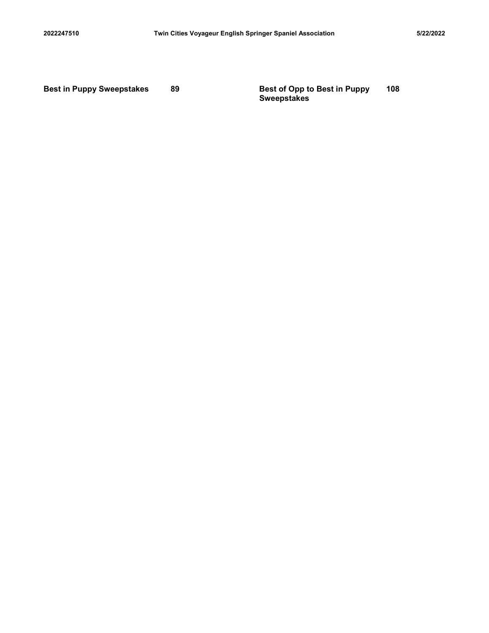2022247510 Twin Cities Voyageur English Springer Spaniel Association 5/22/2022<br>Best in Puppy Sweepstakes 89 Best of Opp to Best in Puppy 108<br>Sweepstakes 89 Sweepstakes Sweepstakes 108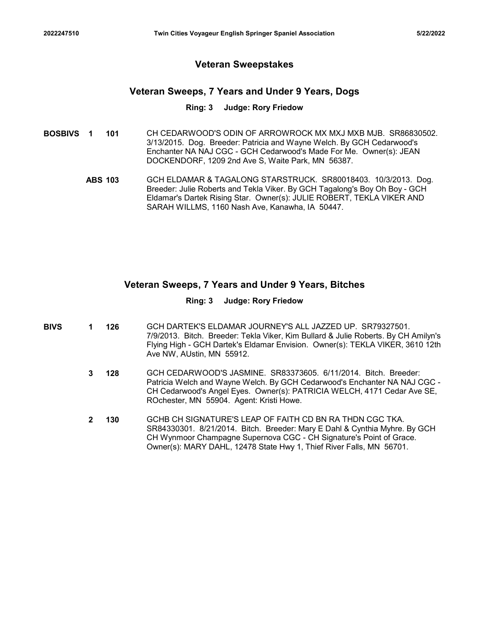# Veteran Sweepstakes

## Veteran Sweeps, 7 Years and Under 9 Years, Dogs

#### Ring: 3 Judge: Rory Friedow

- **BOSBIVS 1 101** CH CEDARWOOD'S ODIN OF ARROWROCK MX MXJ MXB MJB. SR86830502. 3/13/2015. Dog. Breeder: Patricia and Wayne Welch. By GCH Cedarwood's Enchanter NA NAJ CGC - GCH Cedarwood's Made For Me. Owner(s): JEAN DOCKENDORF, 1209 2nd Ave S, Waite Park, MN 56387. Twin Cities Voyageur English Springer Spaniel Association<br>
Veteran Sweepstakes<br>
Veteran Sweeps, 7 Years and Under 9 Years, Dogs<br>
Ring: 3 Judge: Rory Friedow<br>
1 OH CEDARWOOD'S ODIN OF ARROWROCK MX MXJ MXB MJB. SR86830502.<br>
	- Breeder: Julie Roberts and Tekla Viker. By GCH Tagalong's Boy Oh Boy GCH Eldamar's Dartek Rising Star. Owner(s): JULIE ROBERT, TEKLA VIKER AND SARAH WILLMS, 1160 Nash Ave, Kanawha, IA 50447.

## Veteran Sweeps, 7 Years and Under 9 Years, Bitches

#### Ring: 3 Judge: Rory Friedow

- **BIVS 1 126** GCH DARTEK'S ELDAMAR JOURNEY'S ALL JAZZED UP. SR79327501. 7/9/2013. Bitch. Breeder: Tekla Viker, Kim Bullard & Julie Roberts. By CH Amilyn's Flying High - GCH Dartek's Eldamar Envision. Owner(s): TEKLA VIKER, 3610 12th Ave NW, AUstin, MN 55912.
	- **3 128** GCH CEDARWOOD'S JASMINE. SR83373605. 6/11/2014. Bitch. Breeder: Patricia Welch and Wayne Welch. By GCH Cedarwood's Enchanter NA NAJ CGC - CH Cedarwood's Angel Eyes. Owner(s): PATRICIA WELCH, 4171 Cedar Ave SE, ROchester, MN 55904. Agent: Kristi Howe.
	- 130 GCHB CH SIGNATURE'S LEAP OF FAITH CD BN RA THDN CGC TKA. SR84330301. 8/21/2014. Bitch. Breeder: Mary E Dahl & Cynthia Myhre. By GCH CH Wynmoor Champagne Supernova CGC - CH Signature's Point of Grace. Owner(s): MARY DAHL, 12478 State Hwy 1, Thief River Falls, MN 56701. 2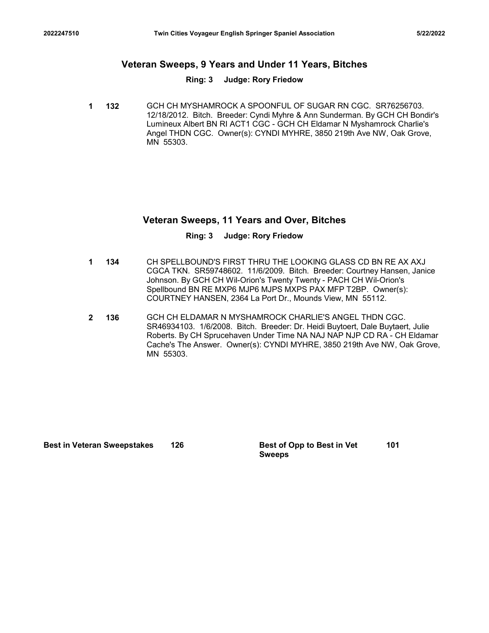# Twin Cities Voyageur English Springer Spaniel Association 5/22/2022<br>
Veteran Sweeps, 9 Years and Under 11 Years, Bitches<br>
Ring: 3 Judge: Rory Friedow Veteran Sweeps, 9 Years and Under 11 Years, Bitches

#### Ring: 3 Judge: Rory Friedow

1 132 GCH CH MYSHAMROCK A SPOONFUL OF SUGAR RN CGC. SR76256703. 12/18/2012. Bitch. Breeder: Cyndi Myhre & Ann Sunderman. By GCH CH Bondir's Lumineux Albert BN RI ACT1 CGC - GCH CH Eldamar N Myshamrock Charlie's Angel THDN CGC. Owner(s): CYNDI MYHRE, 3850 219th Ave NW, Oak Grove, MN 55303.

# Veteran Sweeps, 11 Years and Over, Bitches

#### Ring: 3 Judge: Rory Friedow

- 134 CH SPELLBOUND'S FIRST THRU THE LOOKING GLASS CD BN RE AX AXJ 1 CGCA TKN. SR59748602. 11/6/2009. Bitch. Breeder: Courtney Hansen, Janice Johnson. By GCH CH Wil-Orion's Twenty Twenty - PACH CH Wil-Orion's Spellbound BN RE MXP6 MJP6 MJPS MXPS PAX MFP T2BP. Owner(s): COURTNEY HANSEN, 2364 La Port Dr., Mounds View, MN 55112.
- 136 GCH CH ELDAMAR N MYSHAMROCK CHARLIE'S ANGEL THDN CGC. 2 SR46934103. 1/6/2008. Bitch. Breeder: Dr. Heidi Buytoert, Dale Buytaert, Julie Roberts. By CH Sprucehaven Under Time NA NAJ NAP NJP CD RA - CH Eldamar Cache's The Answer. Owner(s): CYNDI MYHRE, 3850 219th Ave NW, Oak Grove, MN 55303. FRELLBOUND'S FIRST THRU THE LOOKING GLASS CD BN REAX AXJ<br>CGCA TKN SRS9748602 - 11/9/2006 - Blich. Breeder: Courtney Hansen, Janice<br>Johnson By GCH CH Will-Orion's Twenty Twenty-PACH CH Wil-Orion's<br>Spellbound BN RE MXP6 MJP6

Sweeps 101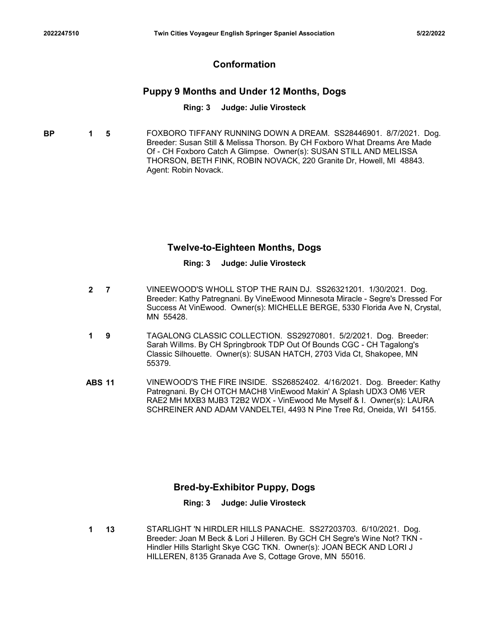# Conformation

# Puppy 9 Months and Under 12 Months, Dogs

#### Ring: 3 Judge: Julie Virosteck

**BP 1 5** FOXBORO TIFFANY RUNNING DOWN A DREAM. SS28446901. 8/7/2021. Dog. Breeder: Susan Still & Melissa Thorson. By CH Foxboro What Dreams Are Made Of - CH Foxboro Catch A Glimpse. Owner(s): SUSAN STILL AND MELISSA THORSON, BETH FINK, ROBIN NOVACK, 220 Granite Dr, Howell, MI 48843. Agent: Robin Novack.

## Twelve-to-Eighteen Months, Dogs

#### Ring: 3 Judge: Julie Virosteck

- 7 VINEEWOOD'S WHOLL STOP THE RAIN DJ. SS26321201. 1/30/2021. Dog. 2 Breeder: Kathy Patregnani. By VineEwood Minnesota Miracle - Segre's Dressed For Success At VinEwood. Owner(s): MICHELLE BERGE, 5330 Florida Ave N, Crystal, MN 55428.
- 9 TAGALONG CLASSIC COLLECTION. SS29270801. 5/2/2021. Dog. Breeder: 1 Sarah Willms. By CH Springbrook TDP Out Of Bounds CGC - CH Tagalong's Classic Silhouette. Owner(s): SUSAN HATCH, 2703 Vida Ct, Shakopee, MN 55379.
- Twelve-to-Eighteen Months, Dogs<br>
Ring: 3 Judge: Julie Virosteck<br>
2 7 VINEEWOOD'S WHOLL STOP THE RAIN DJ. SS26321201. 1/30/2021. Dog.<br>
Breeder: Kathy Patregnani. By VineEwood Minnesota Miracle Segre's Dressed For<br>
Success Patregnani. By CH OTCH MACH8 VinEwood Makin' A Splash UDX3 OM6 VER RAE2 MH MXB3 MJB3 T2B2 WDX - VinEwood Me Myself & I. Owner(s): LAURA SCHREINER AND ADAM VANDELTEI, 4493 N Pine Tree Rd, Oneida, WI 54155.

# Bred-by-Exhibitor Puppy, Dogs

#### Ring: 3 Judge: Julie Virosteck

13 STARLIGHT 'N HIRDLER HILLS PANACHE. SS27203703. 6/10/2021. Dog. Breeder: Joan M Beck & Lori J Hilleren. By GCH CH Segre's Wine Not? TKN - Hindler Hills Starlight Skye CGC TKN. Owner(s): JOAN BECK AND LORI J HILLEREN, 8135 Granada Ave S, Cottage Grove, MN 55016. 1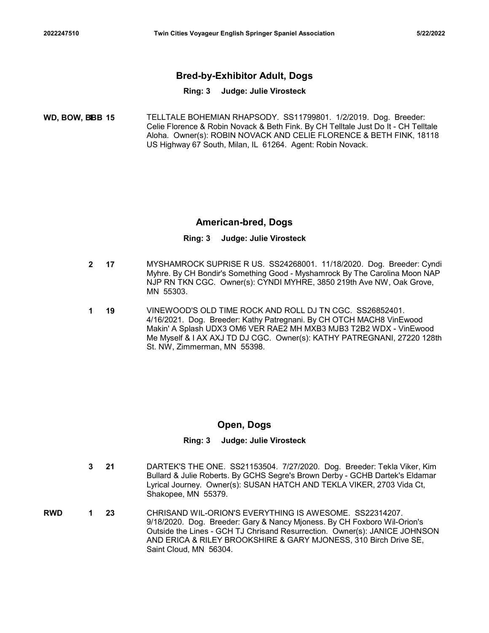# <sup>2022247510</sup> Twin Cities Voyageur English Springer Spaniel Association 5/22/2022 Bred-by-Exhibitor Adult, Dogs

#### Ring: 3 Judge: Julie Virosteck

15 TELLTALE BOHEMIAN RHAPSODY. SS11799801. 1/2/2019. Dog. Breeder: WD, BOW, BBB 1 Celie Florence & Robin Novack & Beth Fink. By CH Telltale Just Do It - CH Telltale Aloha. Owner(s): ROBIN NOVACK AND CELIE FLORENCE & BETH FINK, 18118 US Highway 67 South, Milan, IL 61264. Agent: Robin Novack.

## American-bred, Dogs

#### Ring: 3 Judge: Julie Virosteck

- 17 MYSHAMROCK SUPRISE R US. SS24268001. 11/18/2020. Dog. Breeder: Cyndi 2 Myhre. By CH Bondir's Something Good - Myshamrock By The Carolina Moon NAP NJP RN TKN CGC. Owner(s): CYNDI MYHRE, 3850 219th Ave NW, Oak Grove, MN 55303.
- 19 VINEWOOD'S OLD TIME ROCK AND ROLL DJ TN CGC. SS26852401. 1 4/16/2021. Dog. Breeder: Kathy Patregnani. By CH OTCH MACH8 VinEwood Makin' A Splash UDX3 OM6 VER RAE2 MH MXB3 MJB3 T2B2 WDX - VinEwood Me Myself & I AX AXJ TD DJ CGC. Owner(s): KATHY PATREGNANI, 27220 128th St. NW, Zimmerman, MN 55398.

# Open, Dogs

- 21 DARTEK'S THE ONE. SS21153504. 7/27/2020. Dog. Breeder: Tekla Viker, Kim 3 Bullard & Julie Roberts. By GCHS Segre's Brown Derby - GCHB Dartek's Eldamar Lyrical Journey. Owner(s): SUSAN HATCH AND TEKLA VIKER, 2703 Vida Ct, Shakopee, MN 55379.
- **RWD 1 23** CHRISAND WIL-ORION'S EVERYTHING IS AWESOME. SS22314207. 9/18/2020. Dog. Breeder: Gary & Nancy Mjoness. By CH Foxboro Wil-Orion's Outside the Lines - GCH TJ Chrisand Resurrection. Owner(s): JANICE JOHNSON AND ERICA & RILEY BROOKSHIRE & GARY MJONESS, 310 Birch Drive SE, Saint Cloud, MN 56304.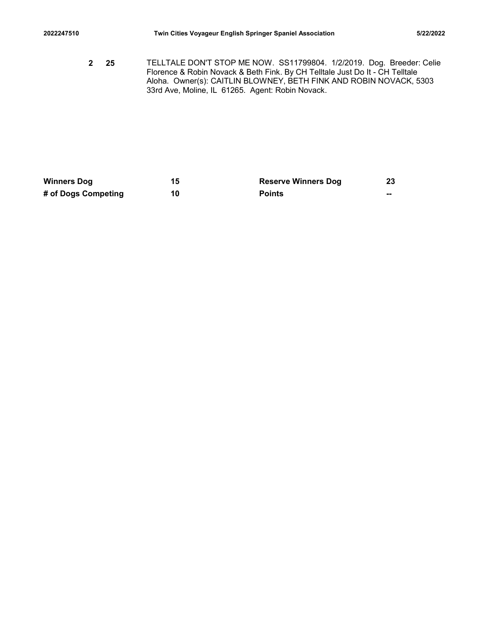2022247510 Twin Cities Voyageur English Springer Spaniel Association 5/22/2022<br>2022-2022 TELLTALE DON'T STOP ME NOW. SS11799804. 1/2/2019. Dog. Breeder: Celie<br>2022 Florence & Robin Novack & Beth Fink. By CH Telltale Just D 25 TELLTALE DON'T STOP ME NOW. SS11799804. 1/2/2019. Dog. Breeder: Celie 2 Florence & Robin Novack & Beth Fink. By CH Telltale Just Do It - CH Telltale Aloha. Owner(s): CAITLIN BLOWNEY, BETH FINK AND ROBIN NOVACK, 5303 33rd Ave, Moline, IL 61265. Agent: Robin Novack. 2022247510 Twin Cities Voyageur English Springer Spaniel Association 5/22/2022<br>
23 TELLTALE DONT STOP ME NOW. SS11799804. 1/2/2019. Dog. Breeder: Celie<br>
Fichence & Robin Novack & Beth Fink. By CH Tellitate Just Do It - CH 202247510<br>
Twin Cities Voyageur English Springer Spaniel Association<br>
2 25 TELLTALE DON'T STOP ME NOW. SS11799804. 1/2/2019. Dog. Breeder: Celie<br>
Forence & Robin Novack & Beth Fink. By CH Telltike Just Do It - CH relitate<br>

| <b>Winners Dog</b>  |    | <b>Reserve Winners Dog</b> | 23 |
|---------------------|----|----------------------------|----|
| # of Dogs Competing | 10 | <b>Points</b>              | -- |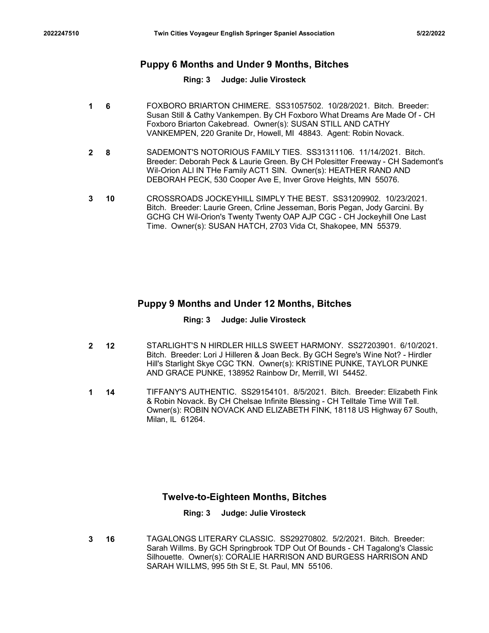# <sup>2022247510</sup> Twin Cities Voyageur English Springer Spaniel Association 5/22/2022 Puppy 6 Months and Under 9 Months, Bitches

#### Ring: 3 Judge: Julie Virosteck

- 6 FOXBORO BRIARTON CHIMERE. SS31057502. 10/28/2021. Bitch. Breeder: 1 Susan Still & Cathy Vankempen. By CH Foxboro What Dreams Are Made Of - CH Foxboro Briarton Cakebread. Owner(s): SUSAN STILL AND CATHY VANKEMPEN, 220 Granite Dr, Howell, MI 48843. Agent: Robin Novack.
- 8 SADEMONT'S NOTORIOUS FAMILY TIES. SS31311106. 11/14/2021. Bitch. 2 Breeder: Deborah Peck & Laurie Green. By CH Polesitter Freeway - CH Sademont's Wil-Orion ALl IN THe Family ACT1 SIN. Owner(s): HEATHER RAND AND DEBORAH PECK, 530 Cooper Ave E, Inver Grove Heights, MN 55076.
- 10 CROSSROADS JOCKEYHILL SIMPLY THE BEST. SS31209902. 10/23/2021. 3 Bitch. Breeder: Laurie Green, Crline Jesseman, Boris Pegan, Jody Garcini. By GCHG CH Wil-Orion's Twenty Twenty OAP AJP CGC - CH Jockeyhill One Last Time. Owner(s): SUSAN HATCH, 2703 Vida Ct, Shakopee, MN 55379.

# Puppy 9 Months and Under 12 Months, Bitches

#### Ring: 3 Judge: Julie Virosteck

- 12 STARLIGHT'S N HIRDLER HILLS SWEET HARMONY. SS27203901. 6/10/2021. 2 Bitch. Breeder: Lori J Hilleren & Joan Beck. By GCH Segre's Wine Not? - Hirdler Hill's Starlight Skye CGC TKN. Owner(s): KRISTINE PUNKE, TAYLOR PUNKE AND GRACE PUNKE, 138952 Rainbow Dr, Merrill, WI 54452.
- 14 TIFFANY'S AUTHENTIC. SS29154101. 8/5/2021. Bitch. Breeder: Elizabeth Fink 1 & Robin Novack. By CH Chelsae Infinite Blessing - CH Telltale Time Will Tell. Owner(s): ROBIN NOVACK AND ELIZABETH FINK, 18118 US Highway 67 South, Milan, IL 61264.

### Twelve-to-Eighteen Months, Bitches

#### Ring: 3 Judge: Julie Virosteck

16 TAGALONGS LITERARY CLASSIC. SS29270802. 5/2/2021. Bitch. Breeder: Sarah Willms. By GCH Springbrook TDP Out Of Bounds - CH Tagalong's Classic Silhouette. Owner(s): CORALIE HARRISON AND BURGESS HARRISON AND SARAH WILLMS, 995 5th St E, St. Paul, MN 55106. 3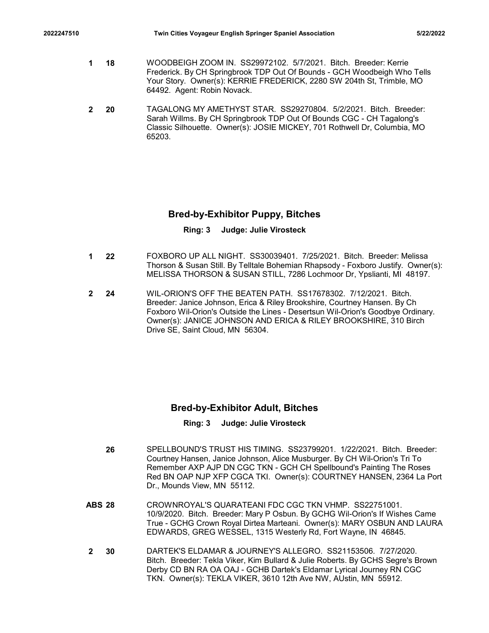- 2022247510 Twin Cities Voyageur English Springer Spaniel Association 5/22/2022<br>1 Transference: Kerrie Frederick. By CH Springbrook TDP Out Of Bounds GCH Woodbeigh Who Tells<br>1 Trederick. By CH Springbrook TDP Out Of Bound **1 18** WOODBEIGH ZOOM IN. SS29972102. 5/7/2021. Bitch. Breeder: Kerrie Frederick. By CH Springbrook TDP Out Of Bounds - GCH Woodbeigh Who Tells Your Story. Owner(s): KERRIE FREDERICK, 2280 SW 204th St, Trimble, MO 64492. Agent: Robin Novack.
	- 20 TAGALONG MY AMETHYST STAR. SS29270804. 5/2/2021. Bitch. Breeder: 2 Sarah Willms. By CH Springbrook TDP Out Of Bounds CGC - CH Tagalong's Classic Silhouette. Owner(s): JOSIE MICKEY, 701 Rothwell Dr, Columbia, MO 65203.

# Bred-by-Exhibitor Puppy, Bitches

## Ring: 3 Judge: Julie Virosteck

- 22 FOXBORO UP ALL NIGHT. SS30039401. 7/25/2021. Bitch. Breeder: Melissa 1 Thorson & Susan Still. By Telltale Bohemian Rhapsody - Foxboro Justify. Owner(s): MELISSA THORSON & SUSAN STILL, 7286 Lochmoor Dr, Ypslianti, MI 48197.
- 24 WIL-ORION'S OFF THE BEATEN PATH. SS17678302. 7/12/2021. Bitch. 2 Breeder: Janice Johnson, Erica & Riley Brookshire, Courtney Hansen. By Ch Foxboro Wil-Orion's Outside the Lines - Desertsun Wil-Orion's Goodbye Ordinary. Owner(s): JANICE JOHNSON AND ERICA & RILEY BROOKSHIRE, 310 Birch Drive SE, Saint Cloud, MN 56304.

# Bred-by-Exhibitor Adult, Bitches

- 26 SPELLBOUND'S TRUST HIS TIMING. SS23799201. 1/22/2021. Bitch. Breeder: Courtney Hansen, Janice Johnson, Alice Musburger. By CH Wil-Orion's Tri To Remember AXP AJP DN CGC TKN - GCH CH Spellbound's Painting The Roses Red BN OAP NJP XFP CGCA TKI. Owner(s): COURTNEY HANSEN, 2364 La Port Dr., Mounds View, MN 55112. Ereedr: Jainte Johnson, Erica & Riley Brookshire, Coutiney Hansen, By Chrome (System Counter)<br>
Exports (System Particle Lines - Deserts In: Wil-Cricin's Goodbye Ordinary.<br>
Owner(s): JANICE JOHNSON AND ERICA & RILEY BROOKSH
- 10/9/2020. Bitch. Breeder: Mary P Osbun. By GCHG Wil-Orion's If Wishes Came True - GCHG Crown Royal Dirtea Marteani. Owner(s): MARY OSBUN AND LAURA EDWARDS, GREG WESSEL, 1315 Westerly Rd, Fort Wayne, IN 46845.
- 30 DARTEK'S ELDAMAR & JOURNEY'S ALLEGRO. SS21153506. 7/27/2020. Bitch. Breeder: Tekla Viker, Kim Bullard & Julie Roberts. By GCHS Segre's Brown Derby CD BN RA OA OAJ - GCHB Dartek's Eldamar Lyrical Journey RN CGC TKN. Owner(s): TEKLA VIKER, 3610 12th Ave NW, AUstin, MN 55912. 2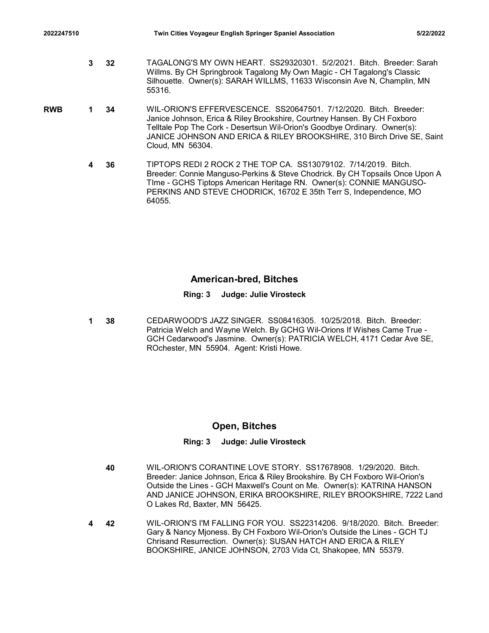- 2022247510 Twin Cities Voyageur English Springer Spaniel Association 5/22/2022<br>3 TAGALONG'S MY OWN HEART. SS29320301. 5/2/2021. Bitch. Breeder: Sarah<br>4 Willms. By CH Springbrook Tagalong My Own Magic CH Tagalong's Classi 3 32 TAGALONG'S MY OWN HEART. SS29320301. 5/2/2021. Bitch. Breeder: Sarah Willms. By CH Springbrook Tagalong My Own Magic - CH Tagalong's Classic Silhouette. Owner(s): SARAH WILLMS, 11633 Wisconsin Ave N, Champlin, MN 55316.
- **RWB 1 34** WIL-ORION'S EFFERVESCENCE. SS20647501. 7/12/2020. Bitch. Breeder: Janice Johnson, Erica & Riley Brookshire, Courtney Hansen. By CH Foxboro Telltale Pop The Cork - Desertsun Wil-Orion's Goodbye Ordinary. Owner(s): JANICE JOHNSON AND ERICA & RILEY BROOKSHIRE, 310 Birch Drive SE, Saint Cloud, MN 56304.
	- 36 TIPTOPS REDI 2 ROCK 2 THE TOP CA. SS13079102. 7/14/2019. Bitch. 4 Breeder: Connie Manguso-Perkins & Steve Chodrick. By CH Topsails Once Upon A TIme - GCHS Tiptops American Heritage RN. Owner(s): CONNIE MANGUSO-PERKINS AND STEVE CHODRICK, 16702 E 35th Terr S, Independence, MO 64055.

# American-bred, Bitches

#### Ring: 3 Judge: Julie Virosteck

38 CEDARWOOD'S JAZZ SINGER. SS08416305. 10/25/2018. Bitch. Breeder: 1 Patricia Welch and Wayne Welch. By GCHG Wil-Orions If Wishes Came True - GCH Cedarwood's Jasmine. Owner(s): PATRICIA WELCH, 4171 Cedar Ave SE, ROchester, MN 55904. Agent: Kristi Howe.

### Open, Bitches

- 40 WIL-ORION'S CORANTINE LOVE STORY. SS17678908. 1/29/2020. Bitch. Breeder: Janice Johnson, Erica & Riley Brookshire. By CH Foxboro Wil-Orion's Outside the Lines - GCH Maxwell's Count on Me. Owner(s): KATRINA HANSON AND JANICE JOHNSON, ERIKA BROOKSHIRE, RILEY BROOKSHIRE, 7222 Land O Lakes Rd, Baxter, MN 56425.
- 42 WIL-ORION'S I'M FALLING FOR YOU. SS22314206. 9/18/2020. Bitch. Breeder: Gary & Nancy Mjoness. By CH Foxboro Wil-Orion's Outside the Lines - GCH TJ Chrisand Resurrection. Owner(s): SUSAN HATCH AND ERICA & RILEY BOOKSHIRE, JANICE JOHNSON, 2703 Vida Ct, Shakopee, MN 55379. 4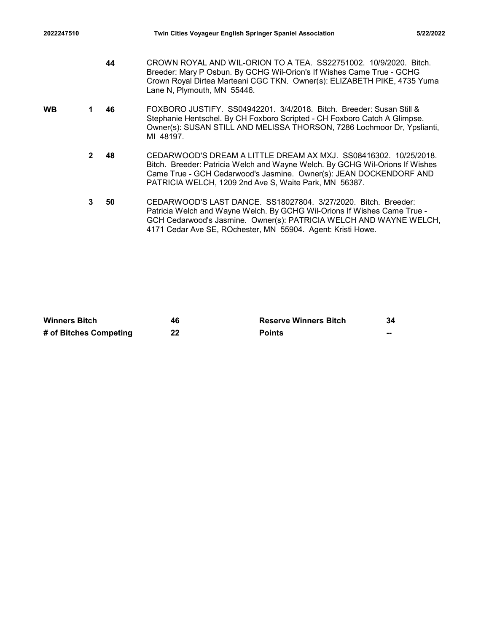| 2022247510           |                |    |                                                                                                                                                                                                                                           | Twin Cities Voyageur English Springer Spaniel Association                                                                                                                                                                                                                       | 5/22/2022 |  |  |
|----------------------|----------------|----|-------------------------------------------------------------------------------------------------------------------------------------------------------------------------------------------------------------------------------------------|---------------------------------------------------------------------------------------------------------------------------------------------------------------------------------------------------------------------------------------------------------------------------------|-----------|--|--|
|                      |                | 44 | Lane N, Plymouth, MN 55446.                                                                                                                                                                                                               | CROWN ROYAL AND WIL-ORION TO A TEA. SS22751002. 10/9/2020. Bitch.<br>Breeder: Mary P Osbun. By GCHG Wil-Orion's If Wishes Came True - GCHG<br>Crown Royal Dirtea Marteani CGC TKN. Owner(s): ELIZABETH PIKE, 4735 Yuma                                                          |           |  |  |
| WB                   | 1.             | 46 | FOXBORO JUSTIFY. SS04942201. 3/4/2018. Bitch. Breeder: Susan Still &<br>Stephanie Hentschel. By CH Foxboro Scripted - CH Foxboro Catch A Glimpse.<br>Owner(s): SUSAN STILL AND MELISSA THORSON, 7286 Lochmoor Dr, Ypslianti,<br>MI 48197. |                                                                                                                                                                                                                                                                                 |           |  |  |
|                      | $\mathbf{2}$   | 48 |                                                                                                                                                                                                                                           | CEDARWOOD'S DREAM A LITTLE DREAM AX MXJ. SS08416302. 10/25/2018.<br>Bitch. Breeder: Patricia Welch and Wayne Welch. By GCHG Wil-Orions If Wishes<br>Came True - GCH Cedarwood's Jasmine. Owner(s): JEAN DOCKENDORF AND<br>PATRICIA WELCH, 1209 2nd Ave S, Waite Park, MN 56387. |           |  |  |
|                      | $3\phantom{a}$ | 50 |                                                                                                                                                                                                                                           | CEDARWOOD'S LAST DANCE. SS18027804. 3/27/2020. Bitch. Breeder:<br>Patricia Welch and Wayne Welch. By GCHG Wil-Orions If Wishes Came True -<br>GCH Cedarwood's Jasmine. Owner(s): PATRICIA WELCH AND WAYNE WELCH,<br>4171 Cedar Ave SE, ROchester, MN 55904. Agent: Kristi Howe. |           |  |  |
|                      |                |    |                                                                                                                                                                                                                                           |                                                                                                                                                                                                                                                                                 |           |  |  |
|                      |                |    |                                                                                                                                                                                                                                           |                                                                                                                                                                                                                                                                                 |           |  |  |
| <b>Winners Bitch</b> |                |    | 46                                                                                                                                                                                                                                        | <b>Reserve Winners Bitch</b>                                                                                                                                                                                                                                                    | 34        |  |  |

| <b>Winners Bitch</b>   | 46 | <b>Reserve Winners Bitch</b> | 34 |
|------------------------|----|------------------------------|----|
| # of Bitches Competing | 22 | <b>Points</b>                | -- |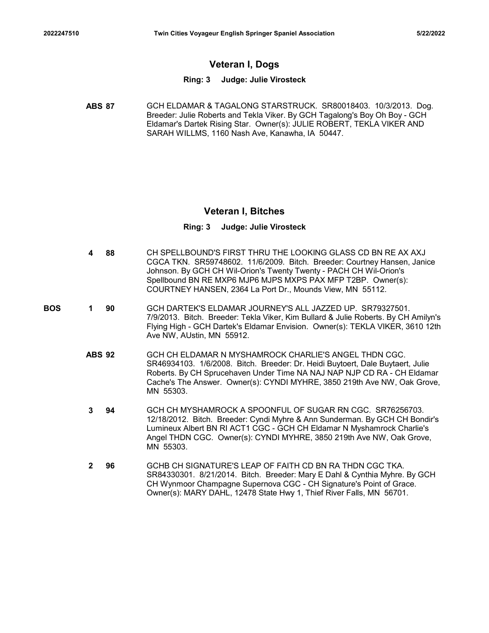# Veteran I, Dogs

#### Ring: 3 Judge: Julie Virosteck

Twin Cities Voyageur English Springer Spaniel Association<br>
Veteran I, Dogs<br>
Ring: 3 Judge: Julie Virosteck<br>
ABS 87<br>
GCH ELDAMAR & TAGALONG STARSTRUCK. SR80018403. 10/3/2013. Dog.<br>
Breeder: Julie Roberts and Tekla Viker. By Breeder: Julie Roberts and Tekla Viker. By GCH Tagalong's Boy Oh Boy - GCH Eldamar's Dartek Rising Star. Owner(s): JULIE ROBERT, TEKLA VIKER AND SARAH WILLMS, 1160 Nash Ave, Kanawha, IA 50447.

### Veteran I, Bitches

- 88 CH SPELLBOUND'S FIRST THRU THE LOOKING GLASS CD BN RE AX AXJ 4 CGCA TKN. SR59748602. 11/6/2009. Bitch. Breeder: Courtney Hansen, Janice Johnson. By GCH CH Wil-Orion's Twenty Twenty - PACH CH Wil-Orion's Spellbound BN RE MXP6 MJP6 MJPS MXPS PAX MFP T2BP. Owner(s): COURTNEY HANSEN, 2364 La Port Dr., Mounds View, MN 55112.
- **BOS 1 90** GCH DARTEK'S ELDAMAR JOURNEY'S ALL JAZZED UP. SR79327501. 7/9/2013. Bitch. Breeder: Tekla Viker, Kim Bullard & Julie Roberts. By CH Amilyn's Flying High - GCH Dartek's Eldamar Envision. Owner(s): TEKLA VIKER, 3610 12th Ave NW, AUstin, MN 55912.
- Veteran I, Bitches<br>
Ring: 3 Judge: Julie Virosteck<br>
4 88 CH SPELLBOUND'S FIRST THRU THE LOOKING GLASS CD BN RE AX AXJ<br>
CGCA TKN. SR59748602. 11/6/2009. Bitch. Breeder: Courtney Hansen, Janice<br>
Johnson. By GCH CH Wil-Orion' SR46934103. 1/6/2008. Bitch. Breeder: Dr. Heidi Buytoert, Dale Buytaert, Julie Roberts. By CH Sprucehaven Under Time NA NAJ NAP NJP CD RA - CH Eldamar Cache's The Answer. Owner(s): CYNDI MYHRE, 3850 219th Ave NW, Oak Grove, MN 55303.
	- 94 GCH CH MYSHAMROCK A SPOONFUL OF SUGAR RN CGC. SR76256703. 3 12/18/2012. Bitch. Breeder: Cyndi Myhre & Ann Sunderman. By GCH CH Bondir's Lumineux Albert BN RI ACT1 CGC - GCH CH Eldamar N Myshamrock Charlie's Angel THDN CGC. Owner(s): CYNDI MYHRE, 3850 219th Ave NW, Oak Grove, MN 55303.
	- 96 GCHB CH SIGNATURE'S LEAP OF FAITH CD BN RA THDN CGC TKA. SR84330301. 8/21/2014. Bitch. Breeder: Mary E Dahl & Cynthia Myhre. By GCH CH Wynmoor Champagne Supernova CGC - CH Signature's Point of Grace. Owner(s): MARY DAHL, 12478 State Hwy 1, Thief River Falls, MN 56701. 2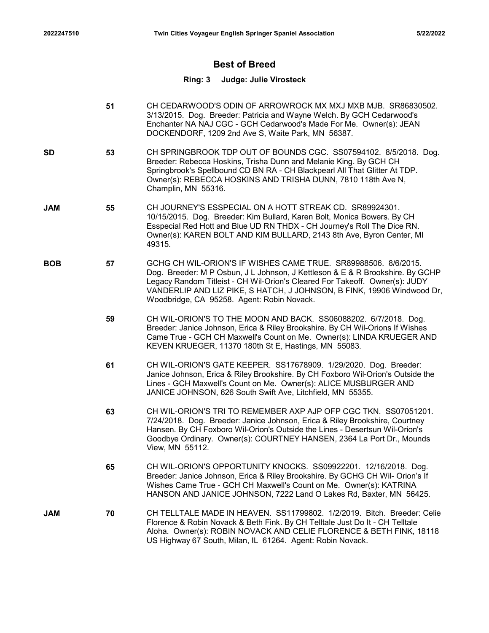# Best of Breed

## Ring: 3 Judge: Julie Virosteck

51 CH CEDARWOOD'S ODIN OF ARROWROCK MX MXJ MXB MJB. SR86830502. 3/13/2015. Dog. Breeder: Patricia and Wayne Welch. By GCH Cedarwood's Enchanter NA NAJ CGC - GCH Cedarwood's Made For Me. Owner(s): JEAN DOCKENDORF, 1209 2nd Ave S, Waite Park, MN 56387. 53 CH SPRINGBROOK TDP OUT OF BOUNDS CGC. SS07594102. 8/5/2018. Dog. SD Breeder: Rebecca Hoskins, Trisha Dunn and Melanie King. By GCH CH Springbrook's Spellbound CD BN RA - CH Blackpearl All That Glitter At TDP. Owner(s): REBECCA HOSKINS AND TRISHA DUNN, 7810 118th Ave N, Champlin, MN 55316. 55 CH JOURNEY'S ESSPECIAL ON A HOTT STREAK CD. SR89924301. JAM 10/15/2015. Dog. Breeder: Kim Bullard, Karen Bolt, Monica Bowers. By CH Esspecial Red Hott and Blue UD RN THDX - CH Journey's Roll The Dice RN. Owner(s): KAREN BOLT AND KIM BULLARD, 2143 8th Ave, Byron Center, MI 49315. 57 GCHG CH WIL-ORION'S IF WISHES CAME TRUE. SR89988506. 8/6/2015. BOB Dog. Breeder: M P Osbun, J L Johnson, J Kettleson & E & R Brookshire. By GCHP Legacy Random Titleist - CH Wil-Orion's Cleared For Takeoff. Owner(s): JUDY VANDERLIP AND LIZ PIKE, S HATCH, J JOHNSON, B FINK, 19906 Windwood Dr, Woodbridge, CA 95258. Agent: Robin Novack. 59 CH WIL-ORION'S TO THE MOON AND BACK. SS06088202. 6/7/2018. Dog. Breeder: Janice Johnson, Erica & Riley Brookshire. By CH Wil-Orions If Wishes Came True - GCH CH Maxwell's Count on Me. Owner(s): LINDA KRUEGER AND KEVEN KRUEGER, 11370 180th St E, Hastings, MN 55083. 61 CH WIL-ORION'S GATE KEEPER. SS17678909. 1/29/2020. Dog. Breeder: Janice Johnson, Erica & Riley Brookshire. By CH Foxboro Wil-Orion's Outside the Lines - GCH Maxwell's Count on Me. Owner(s): ALICE MUSBURGER AND JANICE JOHNSON, 626 South Swift Ave, Litchfield, MN 55355. 63 CH WIL-ORION'S TRI TO REMEMBER AXP AJP OFP CGC TKN. SS07051201. 7/24/2018. Dog. Breeder: Janice Johnson, Erica & Riley Brookshire, Courtney Hansen. By CH Foxboro Wil-Orion's Outside the Lines - Desertsun Wil-Orion's Goodbye Ordinary. Owner(s): COURTNEY HANSEN, 2364 La Port Dr., Mounds View, MN 55112. 65 CH WIL-ORION'S OPPORTUNITY KNOCKS. SS09922201. 12/16/2018. Dog. Breeder: Janice Johnson, Erica & Riley Brookshire. By GCHG CH Wil- Orion's If Wishes Came True - GCH CH Maxwell's Count on Me. Owner(s): KATRINA HANSON AND JANICE JOHNSON, 7222 Land O Lakes Rd, Baxter, MN 56425. 70 CH TELLTALE MADE IN HEAVEN. SS11799802. 1/2/2019. Bitch. Breeder: Celie Florence & Robin Novack & Beth Fink. By CH Telltale Just Do It - CH Telltale Aloha. Owner(s): ROBIN NOVACK AND CELIE FLORENCE & BETH FINK, 18118 US Highway 67 South, Milan, IL 61264. Agent: Robin Novack. JAM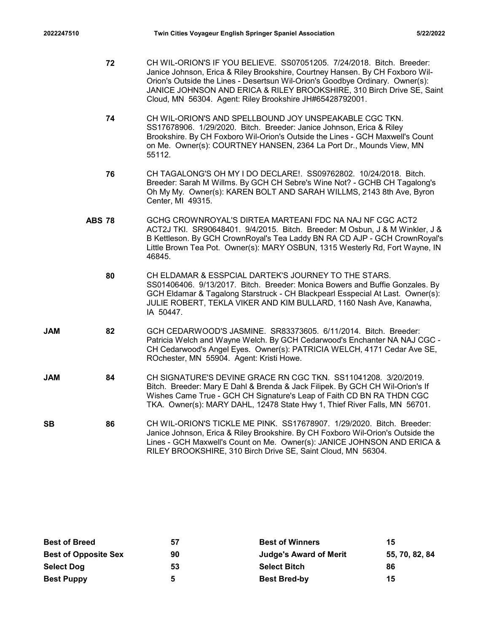- 7610 Twin Cities Voyageur English Springer Spaniel Association 5/22/2022<br>72 CH WIL-ORION'S IF YOU BELIEVE. SS07051205. 7/24/2018. Bitch. Breeder:<br>1990 Janice Johnson, Erica & Riley Brookshire, Courtney Hansen. By CH Foxbor 72 CH WIL-ORION'S IF YOU BELIEVE. SS07051205. 7/24/2018. Bitch. Breeder: Janice Johnson, Erica & Riley Brookshire, Courtney Hansen. By CH Foxboro Wil-Orion's Outside the Lines - Desertsun Wil-Orion's Goodbye Ordinary. Owner(s): JANICE JOHNSON AND ERICA & RILEY BROOKSHIRE, 310 Birch Drive SE, Saint Cloud, MN 56304. Agent: Riley Brookshire JH#65428792001.
	- 74 CH WIL-ORION'S AND SPELLBOUND JOY UNSPEAKABLE CGC TKN. SS17678906. 1/29/2020. Bitch. Breeder: Janice Johnson, Erica & Riley Brookshire. By CH Foxboro Wil-Orion's Outside the Lines - GCH Maxwell's Count on Me. Owner(s): COURTNEY HANSEN, 2364 La Port Dr., Mounds View, MN 55112.
	- 76 CH TAGALONG'S OH MY I DO DECLARE!. SS09762802. 10/24/2018. Bitch. Breeder: Sarah M Willms. By GCH CH Sebre's Wine Not? - GCHB CH Tagalong's Oh My My. Owner(s): KAREN BOLT AND SARAH WILLMS, 2143 8th Ave, Byron Center, MI 49315.
	- Twin Cities Voyageur English Springer Spaniel Association<br>
	S2227022<br>
	CH WIL-ORION'S IF YOU BELIEVE. SS07051205. 7/24/2018. Bitch. Breeder:<br>
	Janice Johnsson, Erica & Riley Brookshire, Courtney Hansen. By CH Foxboro Wil-<br>
	Di ACT2J TKI. SR90648401. 9/4/2015. Bitch. Breeder: M Osbun, J & M Winkler, J & B Kettleson. By GCH CrownRoyal's Tea Laddy BN RA CD AJP - GCH CrownRoyal's Little Brown Tea Pot. Owner(s): MARY OSBUN, 1315 Westerly Rd, Fort Wayne, IN 46845.
		- 80 CH ELDAMAR & ESSPCIAL DARTEK'S JOURNEY TO THE STARS. SS01406406. 9/13/2017. Bitch. Breeder: Monica Bowers and Buffie Gonzales. By GCH Eldamar & Tagalong Starstruck - CH Blackpearl Esspecial At Last. Owner(s): JULIE ROBERT, TEKLA VIKER AND KIM BULLARD, 1160 Nash Ave, Kanawha, IA 50447.
- 82 GCH CEDARWOOD'S JASMINE. SR83373605. 6/11/2014. Bitch. Breeder: JAM Patricia Welch and Wayne Welch. By GCH Cedarwood's Enchanter NA NAJ CGC - CH Cedarwood's Angel Eyes. Owner(s): PATRICIA WELCH, 4171 Cedar Ave SE, ROchester, MN 55904. Agent: Kristi Howe.
- 84 CH SIGNATURE'S DEVINE GRACE RN CGC TKN. SS11041208. 3/20/2019. JAM Bitch. Breeder: Mary E Dahl & Brenda & Jack Filipek. By GCH CH Wil-Orion's If Wishes Came True - GCH CH Signature's Leap of Faith CD BN RA THDN CGC TKA. Owner(s): MARY DAHL, 12478 State Hwy 1, Thief River Falls, MN 56701.
- **SB 66 CH WIL-ORION'S TICKLE ME PINK. SS17678907. 1/29/2020. Bitch. Breeder: 86** Janice Johnson, Erica & Riley Brookshire. By CH Foxboro Wil-Orion's Outside the Lines - GCH Maxwell's Count on Me. Owner(s): JANICE JOHNSON AND ERICA & RILEY BROOKSHIRE, 310 Birch Drive SE, Saint Cloud, MN 56304.

|                                                                                               |    |                     | Patricia Welch and Wayne Welch. By GCH Cedarwood's Enchanter NA NAJ CGC -<br>CH Cedarwood's Angel Eyes. Owner(s): PATRICIA WELCH, 4171 Cedar Ave SE,<br>ROchester, MN 55904. Agent: Kristi Howe.                                                                                                      |                                  |  |
|-----------------------------------------------------------------------------------------------|----|---------------------|-------------------------------------------------------------------------------------------------------------------------------------------------------------------------------------------------------------------------------------------------------------------------------------------------------|----------------------------------|--|
| <b>JAM</b>                                                                                    | 84 |                     | CH SIGNATURE'S DEVINE GRACE RN CGC TKN. SS11041208. 3/20/2019.<br>Bitch. Breeder: Mary E Dahl & Brenda & Jack Filipek. By GCH CH Wil-Orion's If<br>Wishes Came True - GCH CH Signature's Leap of Faith CD BN RA THDN CGC<br>TKA. Owner(s): MARY DAHL, 12478 State Hwy 1, Thief River Falls, MN 56701. |                                  |  |
| <b>SB</b>                                                                                     | 86 |                     | CH WIL-ORION'S TICKLE ME PINK. SS17678907. 1/29/2020. Bitch. Breeder:<br>Janice Johnson, Erica & Riley Brookshire. By CH Foxboro Wil-Orion's Outside the<br>Lines - GCH Maxwell's Count on Me. Owner(s): JANICE JOHNSON AND ERICA &<br>RILEY BROOKSHIRE, 310 Birch Drive SE, Saint Cloud, MN 56304.   |                                  |  |
| <b>Best of Breed</b><br><b>Best of Opposite Sex</b><br><b>Select Dog</b><br><b>Best Puppy</b> |    | 57<br>90<br>53<br>5 | <b>Best of Winners</b><br><b>Judge's Award of Merit</b><br><b>Select Bitch</b><br><b>Best Bred-by</b>                                                                                                                                                                                                 | 15<br>55, 70, 82, 84<br>86<br>15 |  |
|                                                                                               |    |                     |                                                                                                                                                                                                                                                                                                       |                                  |  |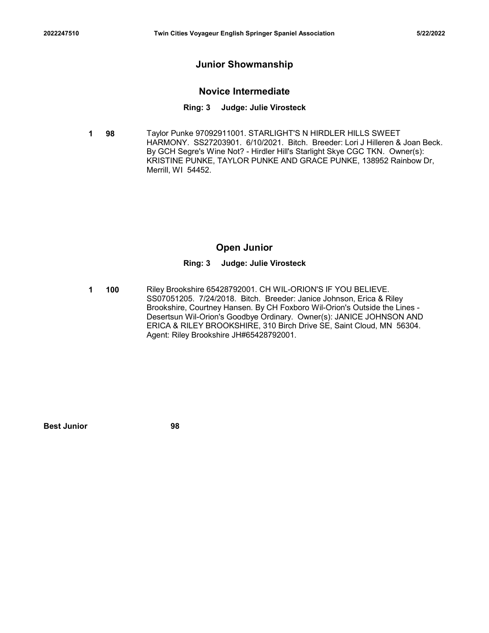# Junior Showmanship

## Novice Intermediate

#### Ring: 3 Judge: Julie Virosteck

**1 98** Taylor Punke 97092911001. STARLIGHT'S N HIRDLER HILLS SWEET HARMONY. SS27203901. 6/10/2021. Bitch. Breeder: Lori J Hilleren & Joan Beck. By GCH Segre's Wine Not? - Hirdler Hill's Starlight Skye CGC TKN. Owner(s): KRISTINE PUNKE, TAYLOR PUNKE AND GRACE PUNKE, 138952 Rainbow Dr, Merrill, WI 54452.

# Open Junior

#### Ring: 3 Judge: Julie Virosteck

**1 100** Riley Brookshire 65428792001. CH WIL-ORION'S IF YOU BELIEVE. SS07051205. 7/24/2018. Bitch. Breeder: Janice Johnson, Erica & Riley Brookshire, Courtney Hansen. By CH Foxboro Wil-Orion's Outside the Lines - Desertsun Wil-Orion's Goodbye Ordinary. Owner(s): JANICE JOHNSON AND ERICA & RILEY BROOKSHIRE, 310 Birch Drive SE, Saint Cloud, MN 56304. Agent: Riley Brookshire JH#65428792001. Open Junior<br>
Ring: 3 Judge: Julie Virosteck<br>
100 Riley Brookshire 65428792001. CH WILL-ORION'S IF YOU BELIEVE.<br>
SS07051205. 7/24/2018. Bitch. Breeder: Janice Johnson, Erica & Riley<br>
Brookshire, Couthery Hansen. By CH Foxbo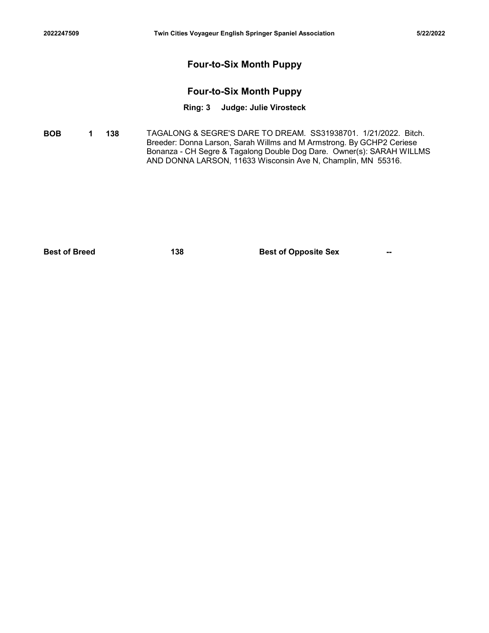# Four-to-Six Month Puppy

# Four-to-Six Month Puppy

### Ring: 3 Judge: Julie Virosteck

**BOB 1 138** TAGALONG & SEGRE'S DARE TO DREAM. SS31938701. 1/21/2022. Bitch. Breeder: Donna Larson, Sarah Willms and M Armstrong. By GCHP2 Ceriese Bonanza - CH Segre & Tagalong Double Dog Dare. Owner(s): SARAH WILLMS AND DONNA LARSON, 11633 Wisconsin Ave N, Champlin, MN 55316. Four-to-Six Month Puppy<br>
Four-to-Six Month Puppy<br>
Ring: 3 Judge: Julie Virosteck<br>
Bost<br>
138 TAGALONG & SEGRE'S DARE TO DREAM. S531938701. 1/21/2022. Bitch.<br>
Best of Opposite Sex --<br>
Bonarza - CH Segre & Tagalong Double Dog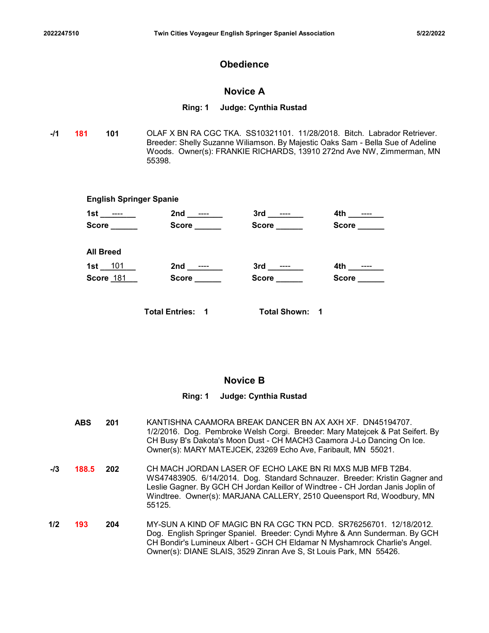# **Obedience**

### Novice A

#### Ring: 1 Judge: Cynthia Rustad

-**/1 181 101** OLAF X BN RA CGC TKA. SS10321101. 11/28/2018. Bitch. Labrador Retriever. Breeder: Shelly Suzanne Wiliamson. By Majestic Oaks Sam - Bella Sue of Adeline Woods. Owner(s): FRANKIE RICHARDS, 13910 272nd Ave NW, Zimmerman, MN 55398.

|                                |                                   | Twin Cities Voyageur English Springer Spaniel Association |                                                                                                                                                                                                                                    | 5/22/2022 |
|--------------------------------|-----------------------------------|-----------------------------------------------------------|------------------------------------------------------------------------------------------------------------------------------------------------------------------------------------------------------------------------------------|-----------|
|                                |                                   | <b>Obedience</b>                                          |                                                                                                                                                                                                                                    |           |
|                                |                                   | <b>Novice A</b>                                           |                                                                                                                                                                                                                                    |           |
|                                |                                   | Ring: 1 Judge: Cynthia Rustad                             |                                                                                                                                                                                                                                    |           |
| 101                            | 55398.                            |                                                           | OLAF X BN RA CGC TKA. SS10321101. 11/28/2018. Bitch. Labrador Retriever.<br>Breeder: Shelly Suzanne Wiliamson. By Majestic Oaks Sam - Bella Sue of Adeline<br>Woods. Owner(s): FRANKIE RICHARDS, 13910 272nd Ave NW, Zimmerman, MN |           |
| <b>English Springer Spanie</b> |                                   |                                                           |                                                                                                                                                                                                                                    |           |
| 1st ___ <del>___</del> ___     |                                   |                                                           |                                                                                                                                                                                                                                    |           |
|                                | Score ______                      | Score ______                                              | Score ______                                                                                                                                                                                                                       |           |
| <b>All Breed</b>               |                                   |                                                           |                                                                                                                                                                                                                                    |           |
| 1st $101$                      | 2nd _________                     |                                                           |                                                                                                                                                                                                                                    |           |
| Score 181                      | Score <u>sales and the second</u> | Score ______                                              | Score _____                                                                                                                                                                                                                        |           |
|                                | <b>Total Entries: 1</b>           | <b>Total Shown: 1</b>                                     |                                                                                                                                                                                                                                    |           |

## Novice B

## Ring: 1 Judge: Cynthia Rustad

201 KANTISHNA CAAMORA BREAK DANCER BN AX AXH XF. DN45194707. ABS 1/2/2016. Dog. Pembroke Welsh Corgi. Breeder: Mary Matejcek & Pat Seifert. By CH Busy B's Dakota's Moon Dust - CH MACH3 Caamora J-Lo Dancing On Ice. Owner(s): MARY MATEJCEK, 23269 Echo Ave, Faribault, MN 55021. -/**3 188.5 202** CH MACH JORDAN LASER OF ECHO LAKE BN RI MXS MJB MFB T2B4. WS47483905. 6/14/2014. Dog. Standard Schnauzer. Breeder: Kristin Gagner and Leslie Gagner. By GCH CH Jordan Keillor of Windtree - CH Jordan Janis Joplin of Windtree. Owner(s): MARJANA CALLERY, 2510 Queensport Rd, Woodbury, MN 55125. **1/2 193 204** MY-SUN A KIND OF MAGIC BN RA CGC TKN PCD. SR76256701. 12/18/2012. Dog. English Springer Spaniel. Breeder: Cyndi Myhre & Ann Sunderman. By GCH CH Bondir's Lumineux Albert - GCH CH Eldamar N Myshamrock Charlie's Angel. Owner(s): DIANE SLAIS, 3529 Zinran Ave S, St Louis Park, MN 55426.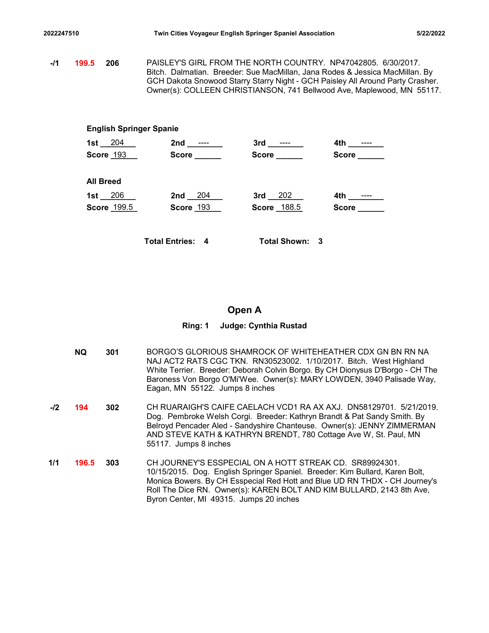2022247510 Twin Cities Voyageur English Springer Spaniel Association 5/22/2022<br>11 199.5 206 PAISLEY'S GIRL FROM THE NORTH COUNTRY. NP47042805. 6/30/2017.<br>199.5 206 PAISLEY'S GIRL FROM THE NORTH COUNTRY. NP47042805. 6/30/20 -/1 **199.5** 206 PAISLEY'S GIRL FROM THE NORTH COUNTRY. NP47042805. 6/30/2017. Bitch. Dalmatian. Breeder: Sue MacMillan, Jana Rodes & Jessica MacMillan. By GCH Dakota Snowood Starry Starry Night - GCH Paisley All Around Party Crasher. Owner(s): COLLEEN CHRISTIANSON, 741 Bellwood Ave, Maplewood, MN 55117.

### English Springer Spanie

|                                |                                                                                                                                                                                                                                                                                                           | Twin Cities Voyageur English Springer Spaniel Association |                             | 5/22/2022 |
|--------------------------------|-----------------------------------------------------------------------------------------------------------------------------------------------------------------------------------------------------------------------------------------------------------------------------------------------------------|-----------------------------------------------------------|-----------------------------|-----------|
| .5 <sub>0</sub><br>206         | PAISLEY'S GIRL FROM THE NORTH COUNTRY. NP47042805. 6/30/2017.<br>Bitch. Dalmatian. Breeder: Sue MacMillan, Jana Rodes & Jessica MacMillan. By<br>GCH Dakota Snowood Starry Starry Night - GCH Paisley All Around Party Crasher.<br>Owner(s): COLLEEN CHRISTIANSON, 741 Bellwood Ave, Maplewood, MN 55117. |                                                           |                             |           |
| <b>English Springer Spanie</b> |                                                                                                                                                                                                                                                                                                           |                                                           |                             |           |
| $1st - 204$<br>Score 193       | Score _____                                                                                                                                                                                                                                                                                               | Score _____                                               | 4th ________<br>Score _____ |           |
| <b>All Breed</b>               |                                                                                                                                                                                                                                                                                                           |                                                           |                             |           |
| $1st - 206$<br>Score 199.5     | $2nd - 204$<br>Score 193                                                                                                                                                                                                                                                                                  | $3rd - 202$<br>Score 188.5                                | Score ______                |           |
|                                | <b>Total Entries: 4</b>                                                                                                                                                                                                                                                                                   | Total Shown: 3                                            |                             |           |

# Open A

|       | <b>NQ</b> | 301 | BORGO'S GLORIOUS SHAMROCK OF WHITEHEATHER CDX GN BN RN NA<br>NAJ ACT2 RATS CGC TKN. RN30523002. 1/10/2017. Bitch. West Highland<br>White Terrier. Breeder: Deborah Colvin Borgo. By CH Dionysus D'Borgo - CH The<br>Baroness Von Borgo O'Mi'Wee. Owner(s): MARY LOWDEN, 3940 Palisade Way,<br>Eagan, MN 55122. Jumps 8 inches             |
|-------|-----------|-----|-------------------------------------------------------------------------------------------------------------------------------------------------------------------------------------------------------------------------------------------------------------------------------------------------------------------------------------------|
| $-I2$ | 194       | 302 | CH RUARAIGH'S CAIFE CAELACH VCD1 RA AX AXJ. DN58129701. 5/21/2019.<br>Dog. Pembroke Welsh Corgi. Breeder: Kathryn Brandt & Pat Sandy Smith. By<br>Belroyd Pencader Aled - Sandyshire Chanteuse. Owner(s): JENNY ZIMMERMAN<br>AND STEVE KATH & KATHRYN BRENDT, 780 Cottage Ave W, St. Paul, MN<br>55117. Jumps 8 inches                    |
| 1/1   | 196.5     | 303 | CH JOURNEY'S ESSPECIAL ON A HOTT STREAK CD. SR89924301.<br>10/15/2015. Dog. English Springer Spaniel. Breeder: Kim Bullard, Karen Bolt,<br>Monica Bowers. By CH Esspecial Red Hott and Blue UD RN THDX - CH Journey's<br>Roll The Dice RN. Owner(s): KAREN BOLT AND KIM BULLARD, 2143 8th Ave,<br>Byron Center, MI 49315. Jumps 20 inches |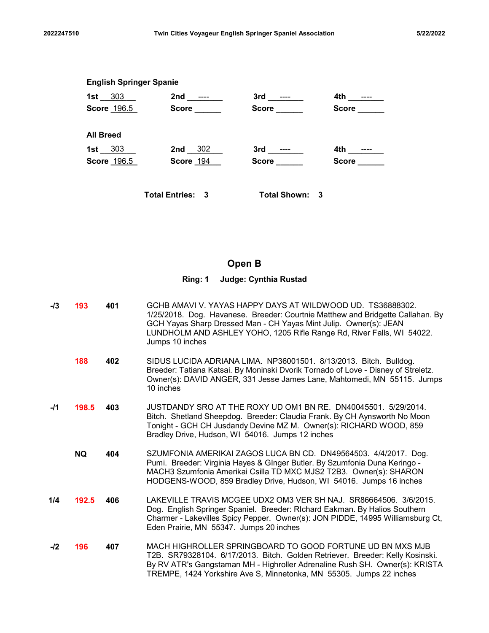| 2022247510 |                                | Twin Cities Voyageur English Springer Spaniel Association |                             |              | 5/22/2022 |
|------------|--------------------------------|-----------------------------------------------------------|-----------------------------|--------------|-----------|
|            | <b>English Springer Spanie</b> |                                                           |                             |              |           |
|            |                                | 1st 303 2nd ---- 3rd ----<br>Score 196.5 Score ______     | Score ______                | Score ______ |           |
|            | <b>All Breed</b>               |                                                           |                             |              |           |
|            | 1st 303<br>Score 196.5         | 2nd 302<br>Score 194                                      | 3rd _______<br>Score ______ | Score _____  |           |
|            |                                | <b>Total Entries: 3</b>                                   | <b>Total Shown: 3</b>       |              |           |
|            |                                |                                                           |                             |              |           |

# Open B

| $-13$ | 193       | 401 | GCHB AMAVI V. YAYAS HAPPY DAYS AT WILDWOOD UD. TS36888302.<br>1/25/2018. Dog. Havanese. Breeder: Courtnie Matthew and Bridgette Callahan. By<br>GCH Yayas Sharp Dressed Man - CH Yayas Mint Julip. Owner(s): JEAN<br>LUNDHOLM AND ASHLEY YOHO, 1205 Rifle Range Rd, River Falls, WI 54022.<br>Jumps 10 inches |
|-------|-----------|-----|---------------------------------------------------------------------------------------------------------------------------------------------------------------------------------------------------------------------------------------------------------------------------------------------------------------|
|       | 188       | 402 | SIDUS LUCIDA ADRIANA LIMA. NP36001501. 8/13/2013. Bitch. Bulldog.<br>Breeder: Tatiana Katsai. By Moninski Dvorik Tornado of Love - Disney of Streletz.<br>Owner(s): DAVID ANGER, 331 Jesse James Lane, Mahtomedi, MN 55115. Jumps<br>10 inches                                                                |
| -/1   | 198.5     | 403 | JUSTDANDY SRO AT THE ROXY UD OM1 BN RE. DN40045501. 5/29/2014.<br>Bitch. Shetland Sheepdog. Breeder: Claudia Frank. By CH Aynsworth No Moon<br>Tonight - GCH CH Jusdandy Devine MZ M. Owner(s): RICHARD WOOD, 859<br>Bradley Drive, Hudson, WI 54016. Jumps 12 inches                                         |
|       | <b>NQ</b> | 404 | SZUMFONIA AMERIKAI ZAGOS LUCA BN CD. DN49564503. 4/4/2017. Dog.<br>Pumi. Breeder: Virginia Hayes & GInger Butler. By Szumfonia Duna Keringo -<br>MACH3 Szumfonia Amerikai Csilla TD MXC MJS2 T2B3. Owner(s): SHARON<br>HODGENS-WOOD, 859 Bradley Drive, Hudson, WI 54016. Jumps 16 inches                     |
| 1/4   | 192.5     | 406 | LAKEVILLE TRAVIS MCGEE UDX2 OM3 VER SH NAJ. SR86664506. 3/6/2015.<br>Dog. English Springer Spaniel. Breeder: RIchard Eakman. By Halios Southern<br>Charmer - Lakevilles Spicy Pepper. Owner(s): JON PIDDE, 14995 Williamsburg Ct,<br>Eden Prairie, MN 55347. Jumps 20 inches                                  |
| -12   | 196       | 407 | MACH HIGHROLLER SPRINGBOARD TO GOOD FORTUNE UD BN MXS MJB<br>T2B. SR79328104. 6/17/2013. Bitch. Golden Retriever. Breeder: Kelly Kosinski.<br>By RV ATR's Gangstaman MH - Highroller Adrenaline Rush SH. Owner(s): KRISTA<br>TREMPE, 1424 Yorkshire Ave S, Minnetonka, MN 55305. Jumps 22 inches              |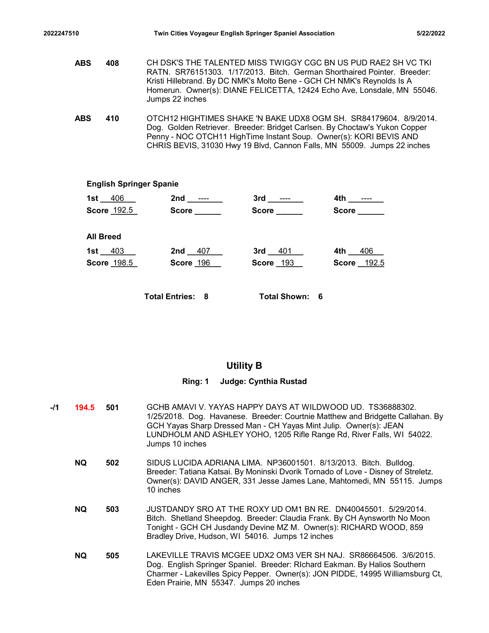- 2022247510 Twin Cities Voyageur English Springer Spaniel Association 5/22/2022<br>ABS 408 CH DSK'S THE TALENTED MISS TWIGGY CGC BN US PUD RAE2 SH VC TKI<br>RATN. SR76151303. 1/17/2013. Bitch. German Shorthaired Pointer. Breeder: **ABS 408** CH DSK'S THE TALENTED MISS TWIGGY CGC BN US PUD RAE2 SH VC TKI RATN. SR76151303. 1/17/2013. Bitch. German Shorthaired Pointer. Breeder: Kristi Hillebrand. By DC NMK's Molto Bene - GCH CH NMK's Reynolds Is A Homerun. Owner(s): DIANE FELICETTA, 12424 Echo Ave, Lonsdale, MN 55046. Jumps 22 inches Twin Cities Voyageur English Springer Spaniel Association<br>
406 CH DSK'S THE TALENTED MISS TWIGGY CGC BN US PUD RAE2 SH VC TKI<br>
RATN. SR76151303. 1/17/2013. Bitch. German Shorthaired Pointer. Breeder:<br>
Kristi Hillebrand. By
	- 410 OTCH12 HIGHTIMES SHAKE 'N BAKE UDX8 OGM SH. SR84179604. 8/9/2014. ABS Dog. Golden Retriever. Breeder: Bridget Carlsen. By Choctaw's Yukon Copper Penny - NOC OTCH11 HighTime Instant Soup. Owner(s): KORI BEVIS AND CHRIS BEVIS, 31030 Hwy 19 Blvd, Cannon Falls, MN 55009. Jumps 22 inches

#### English Springer Spanie

| <b>រ</b> S       | 408                | Kristi Hillebrand. By DC NMK's Molto Bene - GCH CH NMK's Reynolds Is A<br>Jumps 22 inches |                       | CH DSK'S THE TALENTED MISS TWIGGY CGC BN US PUD RAE2 SH VC TKI<br>RATN. SR76151303. 1/17/2013. Bitch. German Shorthaired Pointer. Breeder:<br>Homerun. Owner(s): DIANE FELICETTA, 12424 Echo Ave, Lonsdale, MN 55046.                                                                            |  |
|------------------|--------------------|-------------------------------------------------------------------------------------------|-----------------------|--------------------------------------------------------------------------------------------------------------------------------------------------------------------------------------------------------------------------------------------------------------------------------------------------|--|
| ١S               | 410                |                                                                                           |                       | OTCH12 HIGHTIMES SHAKE 'N BAKE UDX8 OGM SH. SR84179604. 8/9/2014.<br>Dog. Golden Retriever. Breeder: Bridget Carlsen. By Choctaw's Yukon Copper<br>Penny - NOC OTCH11 HighTime Instant Soup. Owner(s): KORI BEVIS AND<br>CHRIS BEVIS, 31030 Hwy 19 Blvd, Cannon Falls, MN 55009. Jumps 22 inches |  |
|                  |                    | <b>English Springer Spanie</b>                                                            |                       |                                                                                                                                                                                                                                                                                                  |  |
|                  | 1st $-406$ $-$     |                                                                                           | $3rd$ _________       | 4th ________                                                                                                                                                                                                                                                                                     |  |
|                  | Score 192.5        | Score ______                                                                              | Score ______          | <b>Score Score</b>                                                                                                                                                                                                                                                                               |  |
| <b>All Breed</b> |                    |                                                                                           |                       |                                                                                                                                                                                                                                                                                                  |  |
|                  | 1st $\_$ 403       | 2nd $407$                                                                                 | 3rd $-401$            | 4th $406$                                                                                                                                                                                                                                                                                        |  |
|                  | <b>Score 198.5</b> | Score 196                                                                                 | <b>Score 193</b>      | Score 192.5                                                                                                                                                                                                                                                                                      |  |
|                  |                    | <b>Total Entries: 8</b>                                                                   | <b>Total Shown: 6</b> |                                                                                                                                                                                                                                                                                                  |  |

### Utility B

- -/1 **194.5 501** GCHB AMAVI V. YAYAS HAPPY DAYS AT WILDWOOD UD. TS36888302. 1/25/2018. Dog. Havanese. Breeder: Courtnie Matthew and Bridgette Callahan. By GCH Yayas Sharp Dressed Man - CH Yayas Mint Julip. Owner(s): JEAN LUNDHOLM AND ASHLEY YOHO, 1205 Rifle Range Rd, River Falls, WI 54022. Jumps 10 inches 502 SIDUS LUCIDA ADRIANA LIMA. NP36001501. 8/13/2013. Bitch. Bulldog. NQ Breeder: Tatiana Katsai. By Moninski Dvorik Tornado of Love - Disney of Streletz. Owner(s): DAVID ANGER, 331 Jesse James Lane, Mahtomedi, MN 55115. Jumps 10 inches 503 JUSTDANDY SRO AT THE ROXY UD OM1 BN RE. DN40045501. 5/29/2014. NQ Bitch. Shetland Sheepdog. Breeder: Claudia Frank. By CH Aynsworth No Moon Tonight - GCH CH Jusdandy Devine MZ M. Owner(s): RICHARD WOOD, 859 Bradley Drive, Hudson, WI 54016. Jumps 12 inches 505 LAKEVILLE TRAVIS MCGEE UDX2 OM3 VER SH NAJ. SR86664506. 3/6/2015. NQ
	- Dog. English Springer Spaniel. Breeder: RIchard Eakman. By Halios Southern Charmer - Lakevilles Spicy Pepper. Owner(s): JON PIDDE, 14995 Williamsburg Ct, Eden Prairie, MN 55347. Jumps 20 inches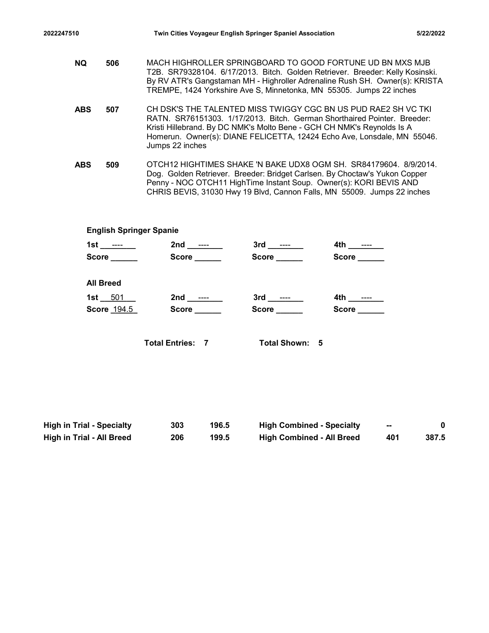| 2022247510 |                  | Twin Cities Voyageur English Springer Spaniel Association                                                                                                                                                                                                                                        |              |             | 5/22/2022 |
|------------|------------------|--------------------------------------------------------------------------------------------------------------------------------------------------------------------------------------------------------------------------------------------------------------------------------------------------|--------------|-------------|-----------|
|            |                  |                                                                                                                                                                                                                                                                                                  |              |             |           |
| <b>NQ</b>  | 506              | MACH HIGHROLLER SPRINGBOARD TO GOOD FORTUNE UD BN MXS MJB<br>T2B. SR79328104. 6/17/2013. Bitch. Golden Retriever. Breeder: Kelly Kosinski.<br>By RV ATR's Gangstaman MH - Highroller Adrenaline Rush SH. Owner(s): KRISTA<br>TREMPE, 1424 Yorkshire Ave S, Minnetonka, MN 55305. Jumps 22 inches |              |             |           |
| <b>ABS</b> | 507              | CH DSK'S THE TALENTED MISS TWIGGY CGC BN US PUD RAE2 SH VC TKI<br>RATN. SR76151303. 1/17/2013. Bitch. German Shorthaired Pointer. Breeder:<br>Kristi Hillebrand. By DC NMK's Molto Bene - GCH CH NMK's Reynolds Is A                                                                             |              |             |           |
|            |                  | Homerun. Owner(s): DIANE FELICETTA, 12424 Echo Ave, Lonsdale, MN 55046.<br>Jumps 22 inches                                                                                                                                                                                                       |              |             |           |
| <b>ABS</b> | 509              | OTCH12 HIGHTIMES SHAKE 'N BAKE UDX8 OGM SH. SR84179604. 8/9/2014.<br>Dog. Golden Retriever. Breeder: Bridget Carlsen. By Choctaw's Yukon Copper<br>Penny - NOC OTCH11 HighTime Instant Soup. Owner(s): KORI BEVIS AND<br>CHRIS BEVIS, 31030 Hwy 19 Blvd, Cannon Falls, MN 55009. Jumps 22 inches |              |             |           |
|            |                  |                                                                                                                                                                                                                                                                                                  |              |             |           |
|            |                  | <b>English Springer Spanie</b>                                                                                                                                                                                                                                                                   |              |             |           |
|            | 1st _______      |                                                                                                                                                                                                                                                                                                  |              |             |           |
|            |                  | Score Score Score Score                                                                                                                                                                                                                                                                          | Score ______ | Score _____ |           |
|            | <b>All Breed</b> |                                                                                                                                                                                                                                                                                                  |              |             |           |
|            | EOM              |                                                                                                                                                                                                                                                                                                  |              |             |           |

|            |                                  |                         |              | TREMPE, 1424 Yorkshire Ave S, Minnetonka, MN 55305. Jumps 22 inches                                                                                                                                                                                                                              |                                  |        |             |  |
|------------|----------------------------------|-------------------------|--------------|--------------------------------------------------------------------------------------------------------------------------------------------------------------------------------------------------------------------------------------------------------------------------------------------------|----------------------------------|--------|-------------|--|
| <b>ABS</b> | 507                              | Jumps 22 inches         |              | CH DSK'S THE TALENTED MISS TWIGGY CGC BN US PUD RAE2 SH VC TKI<br>RATN. SR76151303. 1/17/2013. Bitch. German Shorthaired Pointer. Breeder:<br>Kristi Hillebrand. By DC NMK's Molto Bene - GCH CH NMK's Reynolds Is A<br>Homerun. Owner(s): DIANE FELICETTA, 12424 Echo Ave, Lonsdale, MN 55046.  |                                  |        |             |  |
| <b>ABS</b> | 509                              |                         |              | OTCH12 HIGHTIMES SHAKE 'N BAKE UDX8 OGM SH. SR84179604. 8/9/2014.<br>Dog. Golden Retriever. Breeder: Bridget Carlsen. By Choctaw's Yukon Copper<br>Penny - NOC OTCH11 HighTime Instant Soup. Owner(s): KORI BEVIS AND<br>CHRIS BEVIS, 31030 Hwy 19 Blvd, Cannon Falls, MN 55009. Jumps 22 inches |                                  |        |             |  |
|            | <b>English Springer Spanie</b>   |                         |              |                                                                                                                                                                                                                                                                                                  |                                  |        |             |  |
|            | 1st _______                      |                         |              |                                                                                                                                                                                                                                                                                                  |                                  |        |             |  |
|            | Score ______                     |                         | Score _____  | Score ______                                                                                                                                                                                                                                                                                     | Score _____                      |        |             |  |
|            | <b>All Breed</b>                 |                         |              |                                                                                                                                                                                                                                                                                                  |                                  |        |             |  |
|            | 1st $-501$                       |                         |              | 3rd ________                                                                                                                                                                                                                                                                                     |                                  |        |             |  |
|            | Score 194.5                      |                         | Score ______ | Score ______                                                                                                                                                                                                                                                                                     | Score _____                      |        |             |  |
|            |                                  | <b>Total Entries: 7</b> |              | Total Shown: 5                                                                                                                                                                                                                                                                                   |                                  |        |             |  |
|            |                                  |                         |              |                                                                                                                                                                                                                                                                                                  |                                  |        |             |  |
|            | <b>High in Trial - Specialty</b> | 303                     | 196.5        |                                                                                                                                                                                                                                                                                                  | <b>High Combined - Specialty</b> | $\sim$ | $\mathbf 0$ |  |
|            | <b>High in Trial - All Breed</b> | 206                     | 199.5        |                                                                                                                                                                                                                                                                                                  | <b>High Combined - All Breed</b> | 401    | 387.5       |  |
|            |                                  |                         |              |                                                                                                                                                                                                                                                                                                  |                                  |        |             |  |
|            |                                  |                         |              |                                                                                                                                                                                                                                                                                                  |                                  |        |             |  |
|            |                                  |                         |              |                                                                                                                                                                                                                                                                                                  |                                  |        |             |  |
|            |                                  |                         |              |                                                                                                                                                                                                                                                                                                  |                                  |        |             |  |

| <b>High in Trial - Specialty</b> | 303 | 196.5 | <b>High Combined - Specialty</b> | $\sim$ |       |
|----------------------------------|-----|-------|----------------------------------|--------|-------|
| High in Trial - All Breed        | 206 | 199.5 | <b>High Combined - All Breed</b> | 401    | 387.5 |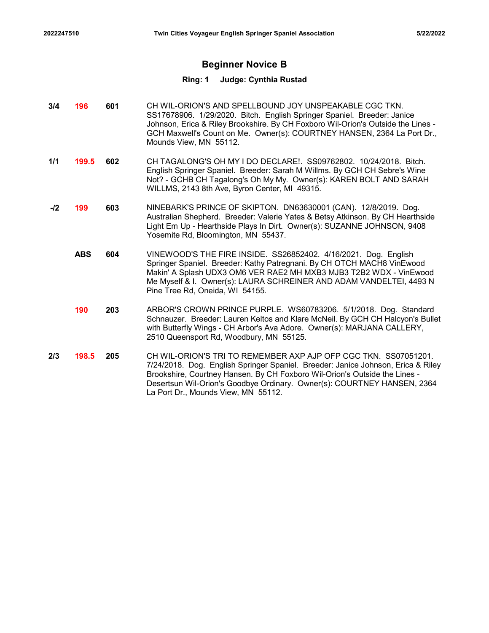# Beginner Novice B

- 3/4 **196 601** CH WIL-ORION'S AND SPELLBOUND JOY UNSPEAKABLE CGC TKN. SS17678906. 1/29/2020. Bitch. English Springer Spaniel. Breeder: Janice Johnson, Erica & Riley Brookshire. By CH Foxboro Wil-Orion's Outside the Lines - GCH Maxwell's Count on Me. Owner(s): COURTNEY HANSEN, 2364 La Port Dr., Mounds View, MN 55112.
- **1/1 199.5 602** CH TAGALONG'S OH MY I DO DECLARE!. SS09762802. 10/24/2018. Bitch. English Springer Spaniel. Breeder: Sarah M Willms. By GCH CH Sebre's Wine Not? - GCHB CH Tagalong's Oh My My. Owner(s): KAREN BOLT AND SARAH WILLMS, 2143 8th Ave, Byron Center, MI 49315.
- -**/2 199 603** NINEBARK'S PRINCE OF SKIPTON. DN63630001 (CAN). 12/8/2019. Dog. Australian Shepherd. Breeder: Valerie Yates & Betsy Atkinson. By CH Hearthside Light Em Up - Hearthside Plays In Dirt. Owner(s): SUZANNE JOHNSON, 9408 Yosemite Rd, Bloomington, MN 55437.
	- **ABS 604** VINEWOOD'S THE FIRE INSIDE. SS26852402. 4/16/2021. Dog. English Springer Spaniel. Breeder: Kathy Patregnani. By CH OTCH MACH8 VinEwood Makin' A Splash UDX3 OM6 VER RAE2 MH MXB3 MJB3 T2B2 WDX - VinEwood Me Myself & I. Owner(s): LAURA SCHREINER AND ADAM VANDELTEI, 4493 N Pine Tree Rd, Oneida, WI 54155.
	- **190 203** ARBOR'S CROWN PRINCE PURPLE. WS60783206. 5/1/2018. Dog. Standard Schnauzer. Breeder: Lauren Keltos and Klare McNeil. By GCH CH Halcyon's Bullet with Butterfly Wings - CH Arbor's Ava Adore. Owner(s): MARJANA CALLERY, 2510 Queensport Rd, Woodbury, MN 55125.
- 2/3 **198.5 205** CH WIL-ORION'S TRI TO REMEMBER AXP AJP OFP CGC TKN. SS07051201. 7/24/2018. Dog. English Springer Spaniel. Breeder: Janice Johnson, Erica & Riley Brookshire, Courtney Hansen. By CH Foxboro Wil-Orion's Outside the Lines - Desertsun Wil-Orion's Goodbye Ordinary. Owner(s): COURTNEY HANSEN, 2364 La Port Dr., Mounds View, MN 55112.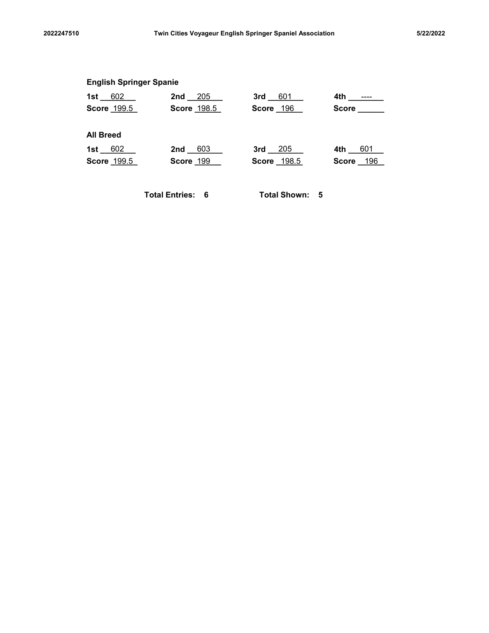|                                | Twin Cities Voyageur English Springer Spaniel Association |                |             | 5/22/2022 |
|--------------------------------|-----------------------------------------------------------|----------------|-------------|-----------|
|                                |                                                           |                |             |           |
| <b>English Springer Spanie</b> |                                                           |                |             |           |
| 1st $602$                      | 205<br>$2nd$ <sub>-</sub>                                 | 3rd 601        |             |           |
| Score 199.5                    | Score 198.5                                               | Score 196      | Score _____ |           |
| <b>All Breed</b>               |                                                           |                |             |           |
| 1st $602$                      | 2nd 603                                                   | $3rd$ $205$    | 4th 601     |           |
| Score 199.5                    | Score 199                                                 | Score 198.5    | Score 196   |           |
|                                | <b>Total Entries: 6</b>                                   | Total Shown: 5 |             |           |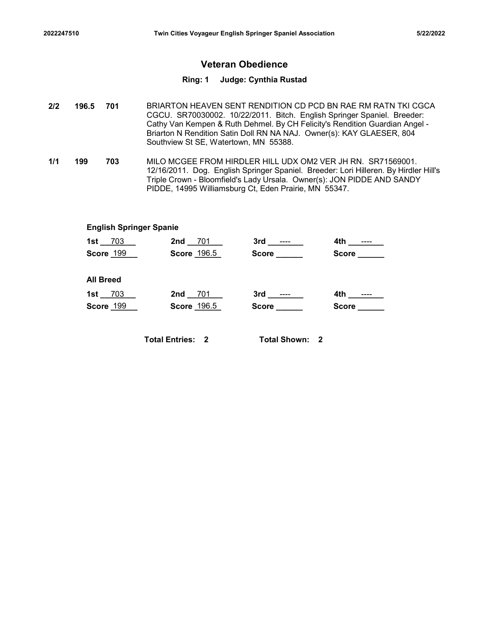# Veteran Obedience

#### Ring: 1 Judge: Cynthia Rustad

- 701 BRIARTON HEAVEN SENT RENDITION CD PCD BN RAE RM RATN TKI CGCA CGCU. SR70030002. 10/22/2011. Bitch. English Springer Spaniel. Breeder: Cathy Van Kempen & Ruth Dehmel. By CH Felicity's Rendition Guardian Angel - Briarton N Rendition Satin Doll RN NA NAJ. Owner(s): KAY GLAESER, 804 Southview St SE, Watertown, MN 55388. 196.5 701 Twin Cities Voyageur English Springer Spaniel Association<br>
2/2 196.5 701 BRIARTON HEAVEN SENT RENDITION CD PCD BN<br>
202 196.5 701 BRIARTON HEAVEN SENT RENDITION CD PCD BN<br>
202 CGCU. SR70030002. 10/22/2011. Bitch. 1997247510<br>
1997247510<br>
1998.5 Twin Cities Voyageur English Springer Spaniel Association<br>
1998.5 To 1998.1 Half Principle Control of the CGCU. SR70030002.<br>
1998.6 CGCU. SR70030002. 10/22/2011. Bitch. English Sprach<br>
1999.1
- 703 MILO MCGEE FROM HIRDLER HILL UDX OM2 VER JH RN. SR71569001. 12/16/2011. Dog. English Springer Spaniel. Breeder: Lori Hilleren. By Hirdler Hill's Triple Crown - Bloomfield's Lady Ursala. Owner(s): JON PIDDE AND SANDY PIDDE, 14995 Williamsburg Ct, Eden Prairie, MN 55347.

#### English Springer Spanie

|                  |             |                                | Twin Cities Voyageur English Springer Spaniel Association                                                                                                                                                                                                                                                                                 |              | 5/22/2022 |
|------------------|-------------|--------------------------------|-------------------------------------------------------------------------------------------------------------------------------------------------------------------------------------------------------------------------------------------------------------------------------------------------------------------------------------------|--------------|-----------|
|                  |             |                                | <b>Veteran Obedience</b>                                                                                                                                                                                                                                                                                                                  |              |           |
|                  |             |                                | Ring: 1 Judge: Cynthia Rustad                                                                                                                                                                                                                                                                                                             |              |           |
| $.5\,$           | 701         |                                | BRIARTON HEAVEN SENT RENDITION CD PCD BN RAE RM RATN TKI CGCA<br>CGCU. SR70030002. 10/22/2011. Bitch. English Springer Spaniel. Breeder:<br>Cathy Van Kempen & Ruth Dehmel. By CH Felicity's Rendition Guardian Angel -<br>Briarton N Rendition Satin Doll RN NA NAJ. Owner(s): KAY GLAESER, 804<br>Southview St SE, Watertown, MN 55388. |              |           |
|                  | 703         |                                | MILO MCGEE FROM HIRDLER HILL UDX OM2 VER JH RN. SR71569001.<br>12/16/2011. Dog. English Springer Spaniel. Breeder: Lori Hilleren. By Hirdler Hill's<br>Triple Crown - Bloomfield's Lady Ursala. Owner(s): JON PIDDE AND SANDY<br>PIDDE, 14995 Williamsburg Ct, Eden Prairie, MN 55347.                                                    |              |           |
|                  |             | <b>English Springer Spanie</b> |                                                                                                                                                                                                                                                                                                                                           |              |           |
|                  | $1st - 703$ | 2nd 701                        |                                                                                                                                                                                                                                                                                                                                           |              |           |
|                  | Score 199   | Score 196.5                    | Score ______                                                                                                                                                                                                                                                                                                                              | Score ______ |           |
| <b>All Breed</b> |             |                                |                                                                                                                                                                                                                                                                                                                                           |              |           |
| $1st$ 703        |             | 2nd 701                        |                                                                                                                                                                                                                                                                                                                                           | 4th _______  |           |
|                  | Score 199   | Score 196.5                    | Score ______                                                                                                                                                                                                                                                                                                                              | Score _____  |           |
|                  |             | <b>Total Entries: 2</b>        | <b>Total Shown: 2</b>                                                                                                                                                                                                                                                                                                                     |              |           |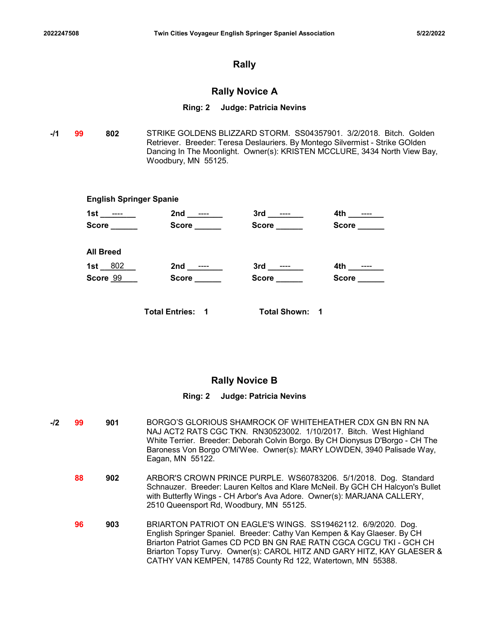# Rally

# Rally Novice A

#### Ring: 2 Judge: Patricia Nevins

-**/1 99 802** STRIKE GOLDENS BLIZZARD STORM. SS04357901. 3/2/2018. Bitch. Golden Retriever. Breeder: Teresa Deslauriers. By Montego Silvermist - Strike GOlden Dancing In The Moonlight. Owner(s): KRISTEN MCCLURE, 3434 North View Bay, Woodbury, MN 55125.

|                                |                         | Twin Cities Voyageur English Springer Spaniel Association |                                                                                                                                                                                                                                  | 5/22/2022 |
|--------------------------------|-------------------------|-----------------------------------------------------------|----------------------------------------------------------------------------------------------------------------------------------------------------------------------------------------------------------------------------------|-----------|
|                                |                         | <b>Rally</b>                                              |                                                                                                                                                                                                                                  |           |
|                                |                         | <b>Rally Novice A</b>                                     |                                                                                                                                                                                                                                  |           |
|                                |                         | Ring: 2 Judge: Patricia Nevins                            |                                                                                                                                                                                                                                  |           |
| 802                            | Woodbury, MN 55125.     |                                                           | STRIKE GOLDENS BLIZZARD STORM. SS04357901. 3/2/2018. Bitch. Golden<br>Retriever. Breeder: Teresa Deslauriers. By Montego Silvermist - Strike GOlden<br>Dancing In The Moonlight. Owner(s): KRISTEN MCCLURE, 3434 North View Bay, |           |
| <b>English Springer Spanie</b> |                         |                                                           |                                                                                                                                                                                                                                  |           |
| 1st ________                   |                         |                                                           | 4th ________                                                                                                                                                                                                                     |           |
|                                | Score Score Score Score | Score ______                                              | Score _____                                                                                                                                                                                                                      |           |
| <b>All Breed</b>               |                         |                                                           |                                                                                                                                                                                                                                  |           |
| 1st $802$                      |                         |                                                           |                                                                                                                                                                                                                                  |           |
| Score 99                       |                         | Score ______                                              | Score _____                                                                                                                                                                                                                      |           |
|                                | <b>Total Entries: 1</b> | <b>Total Shown: 1</b>                                     |                                                                                                                                                                                                                                  |           |

# Rally Novice B

#### Ring: 2 Judge: Patricia Nevins

-/2 99 901 BORGO'S GLORIOUS SHAMROCK OF WHITEHEATHER CDX GN BN RN NA NAJ ACT2 RATS CGC TKN. RN30523002. 1/10/2017. Bitch. West Highland White Terrier. Breeder: Deborah Colvin Borgo. By CH Dionysus D'Borgo - CH The Baroness Von Borgo O'Mi'Wee. Owner(s): MARY LOWDEN, 3940 Palisade Way, Eagan, MN 55122. **88 902** ARBOR'S CROWN PRINCE PURPLE. WS60783206. 5/1/2018. Dog. Standard Schnauzer. Breeder: Lauren Keltos and Klare McNeil. By GCH CH Halcyon's Bullet with Butterfly Wings - CH Arbor's Ava Adore. Owner(s): MARJANA CALLERY,

2510 Queensport Rd, Woodbury, MN 55125.

903 BRIARTON PATRIOT ON EAGLE'S WINGS. SS19462112. 6/9/2020. Dog. English Springer Spaniel. Breeder: Cathy Van Kempen & Kay Glaeser. By CH Briarton Patriot Games CD PCD BN GN RAE RATN CGCA CGCU TKI - GCH CH Briarton Topsy Turvy. Owner(s): CAROL HITZ AND GARY HITZ, KAY GLAESER & CATHY VAN KEMPEN, 14785 County Rd 122, Watertown, MN 55388. 96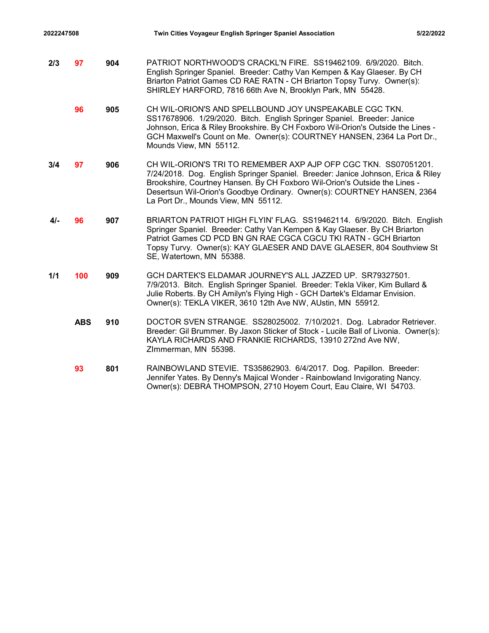- 2022247508 Twin Cities Voyageur English Springer Spaniel Association 5/22/2022<br>2022 13 Twin Cities Voyageur English Springer Spaniel Association<br>2021 PATRIOT NORTHWOOD'S CRACKL'N FIRE. SS19462109. 6/9/2020. Bitch.<br>3. Engli **2/3 97 904** PATRIOT NORTHWOOD'S CRACKL'N FIRE. SS19462109. 6/9/2020. Bitch. English Springer Spaniel. Breeder: Cathy Van Kempen & Kay Glaeser. By CH Briarton Patriot Games CD RAE RATN - CH Briarton Topsy Turvy. Owner(s): SHIRLEY HARFORD, 7816 66th Ave N, Brooklyn Park, MN 55428.
	- **96 905** CH WIL-ORION'S AND SPELLBOUND JOY UNSPEAKABLE CGC TKN. SS17678906. 1/29/2020. Bitch. English Springer Spaniel. Breeder: Janice Johnson, Erica & Riley Brookshire. By CH Foxboro Wil-Orion's Outside the Lines - GCH Maxwell's Count on Me. Owner(s): COURTNEY HANSEN, 2364 La Port Dr., Mounds View, MN 55112.
- 3/4 **97** 906 CH WIL-ORION'S TRI TO REMEMBER AXP AJP OFP CGC TKN. SS07051201. 7/24/2018. Dog. English Springer Spaniel. Breeder: Janice Johnson, Erica & Riley Brookshire, Courtney Hansen. By CH Foxboro Wil-Orion's Outside the Lines - Desertsun Wil-Orion's Goodbye Ordinary. Owner(s): COURTNEY HANSEN, 2364 La Port Dr., Mounds View, MN 55112.
- **4/- 96 907** BRIARTON PATRIOT HIGH FLYIN' FLAG. SS19462114. 6/9/2020. Bitch. English Springer Spaniel. Breeder: Cathy Van Kempen & Kay Glaeser. By CH Briarton Patriot Games CD PCD BN GN RAE CGCA CGCU TKI RATN - GCH Briarton Topsy Turvy. Owner(s): KAY GLAESER AND DAVE GLAESER, 804 Southview St SE, Watertown, MN 55388.
- 1/1 **100 909** GCH DARTEK'S ELDAMAR JOURNEY'S ALL JAZZED UP. SR79327501. 7/9/2013. Bitch. English Springer Spaniel. Breeder: Tekla Viker, Kim Bullard & Julie Roberts. By CH Amilyn's Flying High - GCH Dartek's Eldamar Envision. Owner(s): TEKLA VIKER, 3610 12th Ave NW, AUstin, MN 55912.
	- ABS 910 DOCTOR SVEN STRANGE. SS28025002. 7/10/2021. Dog. Labrador Retriever. Breeder: Gil Brummer. By Jaxon Sticker of Stock - Lucile Ball of Livonia. Owner(s): KAYLA RICHARDS AND FRANKIE RICHARDS, 13910 272nd Ave NW, ZImmerman, MN 55398.
	- 801 RAINBOWLAND STEVIE. TS35862903. 6/4/2017. Dog. Papillon. Breeder: Jennifer Yates. By Denny's Majical Wonder - Rainbowland Invigorating Nancy. Owner(s): DEBRA THOMPSON, 2710 Hoyem Court, Eau Claire, WI 54703. 93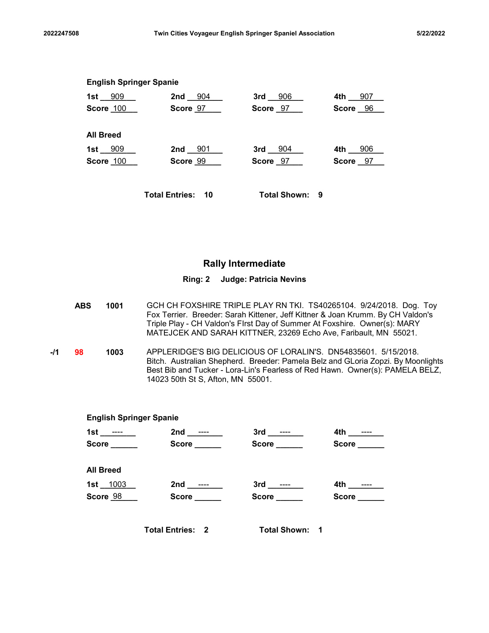| 2022247508 |                                |                                 | Twin Cities Voyageur English Springer Spaniel Association |          | 5/22/2022 |
|------------|--------------------------------|---------------------------------|-----------------------------------------------------------|----------|-----------|
|            |                                |                                 |                                                           |          |           |
|            | <b>English Springer Spanie</b> |                                 |                                                           |          |           |
|            |                                | 1st 909 2nd 904 3rd 906 4th 907 |                                                           |          |           |
|            |                                | Score 100 Score 97              | Score 97                                                  | Score 96 |           |
|            | <b>All Breed</b>               |                                 |                                                           |          |           |
|            | 1st __909                      | 2nd 901                         | $3rd_{204}$                                               | 4th 906  |           |
|            | Score 100                      | Score 99                        | Score 97                                                  | Score 97 |           |

# Rally Intermediate

- **ABS 1001** GCH CH FOXSHIRE TRIPLE PLAY RN TKI. TS40265104. 9/24/2018. Dog. Toy Fox Terrier. Breeder: Sarah Kittener, Jeff Kittner & Joan Krumm. By CH Valdon's Triple Play - CH Valdon's FIrst Day of Summer At Foxshire. Owner(s): MARY MATEJCEK AND SARAH KITTNER, 23269 Echo Ave, Faribault, MN 55021.
- -**/1 98 1003** APPLERIDGE'S BIG DELICIOUS OF LORALIN'S. DN54835601. 5/15/2018. Bitch. Australian Shepherd. Breeder: Pamela Belz and GLoria Zopzi. By Moonlights Best Bib and Tucker - Lora-Lin's Fearless of Red Hawn. Owner(s): PAMELA BELZ, 14023 50th St S, Afton, MN 55001.

|    |                                                         |                                                                                                                                                                                                                                                                                                         | <b>Rally Intermediate</b>             |                                    |  |
|----|---------------------------------------------------------|---------------------------------------------------------------------------------------------------------------------------------------------------------------------------------------------------------------------------------------------------------------------------------------------------------|---------------------------------------|------------------------------------|--|
|    |                                                         |                                                                                                                                                                                                                                                                                                         | Ring: 2 Judge: Patricia Nevins        |                                    |  |
| BS | 1001                                                    | GCH CH FOXSHIRE TRIPLE PLAY RN TKI. TS40265104. 9/24/2018. Dog. Toy<br>Fox Terrier. Breeder: Sarah Kittener, Jeff Kittner & Joan Krumm. By CH Valdon's<br>Triple Play - CH Valdon's Flrst Day of Summer At Foxshire. Owner(s): MARY<br>MATEJCEK AND SARAH KITTNER, 23269 Echo Ave, Faribault, MN 55021. |                                       |                                    |  |
|    | 1003                                                    | APPLERIDGE'S BIG DELICIOUS OF LORALIN'S. DN54835601. 5/15/2018.<br>Bitch. Australian Shepherd. Breeder: Pamela Belz and GLoria Zopzi. By Moonlights<br>Best Bib and Tucker - Lora-Lin's Fearless of Red Hawn. Owner(s): PAMELA BELZ,<br>14023 50th St S, Afton, MN 55001.                               |                                       |                                    |  |
|    |                                                         | <b>English Springer Spanie</b>                                                                                                                                                                                                                                                                          |                                       |                                    |  |
|    | 1st ___ <del>___</del> _<br>$Score$ <sub>________</sub> | 2nd ________<br>Score ______                                                                                                                                                                                                                                                                            | Score ______                          | 4th ________<br>Score ______       |  |
|    | <b>All Breed</b>                                        |                                                                                                                                                                                                                                                                                                         |                                       |                                    |  |
|    | 1st $\_1003$<br>Score 98                                | 2nd _______<br>Score ______                                                                                                                                                                                                                                                                             | $3rd$ _________<br><b>Score Score</b> | 4th ________<br><b>Score Score</b> |  |
|    |                                                         | <b>Total Entries: 2</b>                                                                                                                                                                                                                                                                                 | <b>Total Shown: 1</b>                 |                                    |  |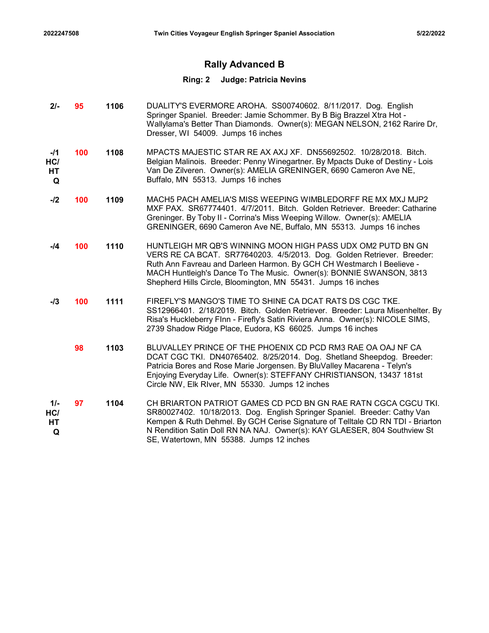# Rally Advanced B

| $2/-$                          | 95  | 1106 | DUALITY'S EVERMORE AROHA. SS00740602. 8/11/2017. Dog. English<br>Springer Spaniel. Breeder: Jamie Schommer. By B Big Brazzel Xtra Hot -<br>Wallylama's Better Than Diamonds. Owner(s): MEGAN NELSON, 2162 Rarire Dr,<br>Dresser, WI 54009. Jumps 16 inches                                                                                             |
|--------------------------------|-----|------|--------------------------------------------------------------------------------------------------------------------------------------------------------------------------------------------------------------------------------------------------------------------------------------------------------------------------------------------------------|
| $-I1$<br>HC/<br>HT<br>Q        | 100 | 1108 | MPACTS MAJESTIC STAR RE AX AXJ XF. DN55692502. 10/28/2018. Bitch.<br>Belgian Malinois. Breeder: Penny Winegartner. By Mpacts Duke of Destiny - Lois<br>Van De Zilveren. Owner(s): AMELIA GRENINGER, 6690 Cameron Ave NE,<br>Buffalo, MN 55313. Jumps 16 inches                                                                                         |
| $-I2$                          | 100 | 1109 | MACH5 PACH AMELIA'S MISS WEEPING WIMBLEDORFF RE MX MXJ MJP2<br>MXF PAX. SR67774401. 4/7/2011. Bitch. Golden Retriever. Breeder: Catharine<br>Greninger. By Toby II - Corrina's Miss Weeping Willow. Owner(s): AMELIA<br>GRENINGER, 6690 Cameron Ave NE, Buffalo, MN 55313. Jumps 16 inches                                                             |
| -/4                            | 100 | 1110 | HUNTLEIGH MR QB'S WINNING MOON HIGH PASS UDX OM2 PUTD BN GN<br>VERS RE CA BCAT. SR77640203. 4/5/2013. Dog. Golden Retriever. Breeder:<br>Ruth Ann Favreau and Darleen Harmon. By GCH CH Westmarch I Beelieve -<br>MACH Huntleigh's Dance To The Music. Owner(s): BONNIE SWANSON, 3813<br>Shepherd Hills Circle, Bloomington, MN 55431. Jumps 16 inches |
| $-13$                          | 100 | 1111 | FIREFLY'S MANGO'S TIME TO SHINE CA DCAT RATS DS CGC TKE.<br>SS12966401. 2/18/2019. Bitch. Golden Retriever. Breeder: Laura Misenhelter. By<br>Risa's Huckleberry Flnn - Firefly's Satin Riviera Anna. Owner(s): NICOLE SIMS,<br>2739 Shadow Ridge Place, Eudora, KS 66025. Jumps 16 inches                                                             |
|                                | 98  | 1103 | BLUVALLEY PRINCE OF THE PHOENIX CD PCD RM3 RAE OA OAJ NF CA<br>DCAT CGC TKI. DN40765402. 8/25/2014. Dog. Shetland Sheepdog. Breeder:<br>Patricia Bores and Rose Marie Jorgensen. By BluValley Macarena - Telyn's<br>Enjoying Everyday Life. Owner(s): STEFFANY CHRISTIANSON, 13437 181st<br>Circle NW, Elk RIver, MN 55330. Jumps 12 inches            |
| $1/-$<br>HC/<br><b>HT</b><br>Q | 97  | 1104 | CH BRIARTON PATRIOT GAMES CD PCD BN GN RAE RATN CGCA CGCU TKI.<br>SR80027402. 10/18/2013. Dog. English Springer Spaniel. Breeder: Cathy Van<br>Kempen & Ruth Dehmel. By GCH Cerise Signature of Telltale CD RN TDI - Briarton<br>N Rendition Satin Doll RN NA NAJ. Owner(s): KAY GLAESER, 804 Southview St<br>SE, Watertown, MN 55388. Jumps 12 inches |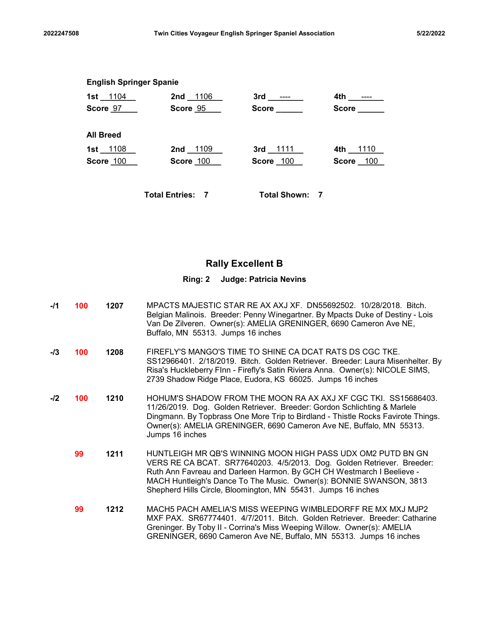| 2022247508 |                                | Twin Cities Voyageur English Springer Spaniel Association    |                       |                              | 5/22/2022 |
|------------|--------------------------------|--------------------------------------------------------------|-----------------------|------------------------------|-----------|
|            |                                |                                                              |                       |                              |           |
|            | <b>English Springer Spanie</b> |                                                              |                       |                              |           |
|            |                                | 1st 1104 2nd 1106 3rd ---- 2nd 2nd 1106<br>Score 97 Score 95 | Score ______          | Score _____                  |           |
|            |                                |                                                              |                       |                              |           |
|            | <b>All Breed</b>               |                                                              |                       |                              |           |
|            | 1st __1108 __<br>Score 100     | 2nd 1109<br>Score 100                                        | 3rd 1111<br>Score 100 | 4th 1110<br><b>Score</b> 100 |           |
|            |                                |                                                              |                       |                              |           |
|            |                                | <b>Total Entries: 7</b>                                      | <b>Total Shown: 7</b> |                              |           |

# Rally Excellent B

- -**/1 100 1207** MPACTS MAJESTIC STAR RE AX AXJ XF. DN55692502. 10/28/2018. Bitch. Belgian Malinois. Breeder: Penny Winegartner. By Mpacts Duke of Destiny - Lois Van De Zilveren. Owner(s): AMELIA GRENINGER, 6690 Cameron Ave NE, Buffalo, MN 55313. Jumps 16 inches -/3 **100 1208** FIREFLY'S MANGO'S TIME TO SHINE CA DCAT RATS DS CGC TKE.
- SS12966401. 2/18/2019. Bitch. Golden Retriever. Breeder: Laura Misenhelter. By Risa's Huckleberry FInn - Firefly's Satin Riviera Anna. Owner(s): NICOLE SIMS, 2739 Shadow Ridge Place, Eudora, KS 66025. Jumps 16 inches
- -/2 **100 1210** HOHUM'S SHADOW FROM THE MOON RA AX AXJ XF CGC TKI. SS15686403. 11/26/2019. Dog. Golden Retriever. Breeder: Gordon Schlichting & Marlele Dingmann. By Topbrass One More Trip to Birdland - Thistle Rocks Favirote Things. Owner(s): AMELIA GRENINGER, 6690 Cameron Ave NE, Buffalo, MN 55313. Jumps 16 inches
	- **99 1211** HUNTLEIGH MR QB'S WINNING MOON HIGH PASS UDX OM2 PUTD BN GN VERS RE CA BCAT. SR77640203. 4/5/2013. Dog. Golden Retriever. Breeder: Ruth Ann Favreau and Darleen Harmon. By GCH CH Westmarch I Beelieve - MACH Huntleigh's Dance To The Music. Owner(s): BONNIE SWANSON, 3813 Shepherd Hills Circle, Bloomington, MN 55431. Jumps 16 inches
	- 1212 MACH5 PACH AMELIA'S MISS WEEPING WIMBLEDORFF RE MX MXJ MJP2 MXF PAX. SR67774401. 4/7/2011. Bitch. Golden Retriever. Breeder: Catharine Greninger. By Toby II - Corrina's Miss Weeping Willow. Owner(s): AMELIA GRENINGER, 6690 Cameron Ave NE, Buffalo, MN 55313. Jumps 16 inches 99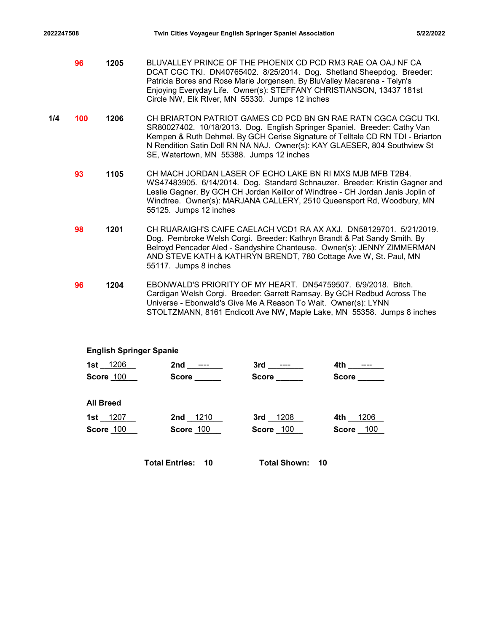- 2022247508 Twin Cities Voyageur English Springer Spaniel Association 5/22/2022<br>1205 BLUVALLEY PRINCE OF THE PHOENIX CD PCD RM3 RAE OA OAJ NF CA<br>DCAT CGC TKI. DN40765402. 8/25/2014. Dog. Shetland Sheepdog. Breeder:<br>Patricia 1205 BLUVALLEY PRINCE OF THE PHOENIX CD PCD RM3 RAE OA OAJ NF CA 96 DCAT CGC TKI. DN40765402. 8/25/2014. Dog. Shetland Sheepdog. Breeder: Patricia Bores and Rose Marie Jorgensen. By BluValley Macarena - Telyn's Enjoying Everyday Life. Owner(s): STEFFANY CHRISTIANSON, 13437 181st Circle NW, Elk RIver, MN 55330. Jumps 12 inches
- 1/4 **100 1206** CH BRIARTON PATRIOT GAMES CD PCD BN GN RAE RATN CGCA CGCU TKI. SR80027402. 10/18/2013. Dog. English Springer Spaniel. Breeder: Cathy Van Kempen & Ruth Dehmel. By GCH Cerise Signature of Telltale CD RN TDI - Briarton N Rendition Satin Doll RN NA NAJ. Owner(s): KAY GLAESER, 804 Southview St SE, Watertown, MN 55388. Jumps 12 inches
	- **93 1105** CH MACH JORDAN LASER OF ECHO LAKE BN RI MXS MJB MFB T2B4. WS47483905. 6/14/2014. Dog. Standard Schnauzer. Breeder: Kristin Gagner and Leslie Gagner. By GCH CH Jordan Keillor of Windtree - CH Jordan Janis Joplin of Windtree. Owner(s): MARJANA CALLERY, 2510 Queensport Rd, Woodbury, MN 55125. Jumps 12 inches
	- **98 1201** CH RUARAIGH'S CAIFE CAELACH VCD1 RA AX AXJ. DN58129701. 5/21/2019. Dog. Pembroke Welsh Corgi. Breeder: Kathryn Brandt & Pat Sandy Smith. By Belroyd Pencader Aled - Sandyshire Chanteuse. Owner(s): JENNY ZIMMERMAN AND STEVE KATH & KATHRYN BRENDT, 780 Cottage Ave W, St. Paul, MN 55117. Jumps 8 inches
	- **96 1204** EBONWALD'S PRIORITY OF MY HEART. DN54759507. 6/9/2018. Bitch. Cardigan Welsh Corgi. Breeder: Garrett Ramsay. By GCH Redbud Across The Universe - Ebonwald's Give Me A Reason To Wait. Owner(s): LYNN STOLTZMANN, 8161 Endicott Ave NW, Maple Lake, MN 55358. Jumps 8 inches

#### English Springer Spanie

| CH MACH JORDAN LASER OF ECHO LAKE BN RI MXS MJB MFB T2B4.<br>1105<br>WS47483905. 6/14/2014. Dog. Standard Schnauzer. Breeder: Kristin Gagner and<br>Leslie Gagner. By GCH CH Jordan Keillor of Windtree - CH Jordan Janis Joplin of<br>Windtree. Owner(s): MARJANA CALLERY, 2510 Queensport Rd, Woodbury, MN<br>55125. Jumps 12 inches<br>CH RUARAIGH'S CAIFE CAELACH VCD1 RA AX AXJ. DN58129701. 5/21/2019.<br>1201<br>Dog. Pembroke Welsh Corgi. Breeder: Kathryn Brandt & Pat Sandy Smith. By<br>Belroyd Pencader Aled - Sandyshire Chanteuse. Owner(s): JENNY ZIMMERMAN<br>AND STEVE KATH & KATHRYN BRENDT, 780 Cottage Ave W, St. Paul, MN<br>55117. Jumps 8 inches<br>EBONWALD'S PRIORITY OF MY HEART. DN54759507. 6/9/2018. Bitch.<br>1204<br>Cardigan Welsh Corgi. Breeder: Garrett Ramsay. By GCH Redbud Across The<br>Universe - Ebonwald's Give Me A Reason To Wait. Owner(s): LYNN |
|------------------------------------------------------------------------------------------------------------------------------------------------------------------------------------------------------------------------------------------------------------------------------------------------------------------------------------------------------------------------------------------------------------------------------------------------------------------------------------------------------------------------------------------------------------------------------------------------------------------------------------------------------------------------------------------------------------------------------------------------------------------------------------------------------------------------------------------------------------------------------------------------|
|                                                                                                                                                                                                                                                                                                                                                                                                                                                                                                                                                                                                                                                                                                                                                                                                                                                                                                |
|                                                                                                                                                                                                                                                                                                                                                                                                                                                                                                                                                                                                                                                                                                                                                                                                                                                                                                |
| STOLTZMANN, 8161 Endicott Ave NW, Maple Lake, MN 55358. Jumps 8 inches                                                                                                                                                                                                                                                                                                                                                                                                                                                                                                                                                                                                                                                                                                                                                                                                                         |
| <b>English Springer Spanie</b>                                                                                                                                                                                                                                                                                                                                                                                                                                                                                                                                                                                                                                                                                                                                                                                                                                                                 |
| 1st 1206<br>4th ________                                                                                                                                                                                                                                                                                                                                                                                                                                                                                                                                                                                                                                                                                                                                                                                                                                                                       |
| $Score$ <sub>_____</sub><br><b>Score</b> Score<br>Score ____<br>Score 100                                                                                                                                                                                                                                                                                                                                                                                                                                                                                                                                                                                                                                                                                                                                                                                                                      |
| <b>All Breed</b>                                                                                                                                                                                                                                                                                                                                                                                                                                                                                                                                                                                                                                                                                                                                                                                                                                                                               |
| 1st 1207<br>2nd 1210<br>3rd 1208<br>4th 1206                                                                                                                                                                                                                                                                                                                                                                                                                                                                                                                                                                                                                                                                                                                                                                                                                                                   |
| Score 100<br>Score 100<br>Score 100<br>Score 100                                                                                                                                                                                                                                                                                                                                                                                                                                                                                                                                                                                                                                                                                                                                                                                                                                               |
| <b>Total Shown: 10</b><br><b>Total Entries: 10</b>                                                                                                                                                                                                                                                                                                                                                                                                                                                                                                                                                                                                                                                                                                                                                                                                                                             |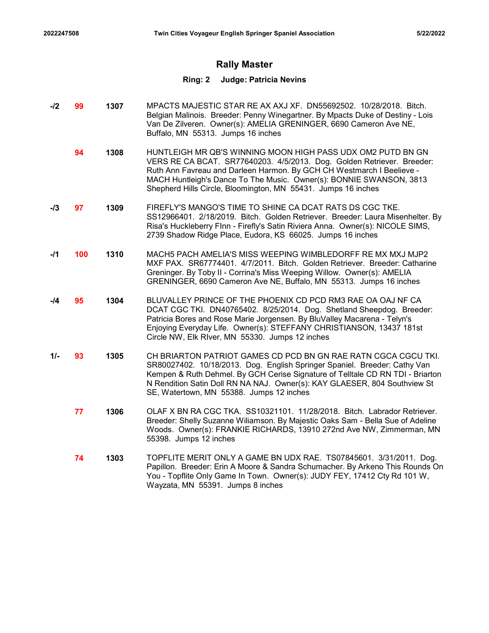# Rally Master

- -**/2 99 1307** MPACTS MAJESTIC STAR RE AX AXJ XF. DN55692502. 10/28/2018. Bitch. Belgian Malinois. Breeder: Penny Winegartner. By Mpacts Duke of Destiny - Lois Van De Zilveren. Owner(s): AMELIA GRENINGER, 6690 Cameron Ave NE, Buffalo, MN 55313. Jumps 16 inches
	- **94 1308** HUNTLEIGH MR QB'S WINNING MOON HIGH PASS UDX OM2 PUTD BN GN VERS RE CA BCAT. SR77640203. 4/5/2013. Dog. Golden Retriever. Breeder: Ruth Ann Favreau and Darleen Harmon. By GCH CH Westmarch I Beelieve - MACH Huntleigh's Dance To The Music. Owner(s): BONNIE SWANSON, 3813 Shepherd Hills Circle, Bloomington, MN 55431. Jumps 16 inches
- -**/3 97 1309** FIREFLY'S MANGO'S TIME TO SHINE CA DCAT RATS DS CGC TKE. SS12966401. 2/18/2019. Bitch. Golden Retriever. Breeder: Laura Misenhelter. By Risa's Huckleberry FInn - Firefly's Satin Riviera Anna. Owner(s): NICOLE SIMS, 2739 Shadow Ridge Place, Eudora, KS 66025. Jumps 16 inches
- -/1 **100 1310** MACH5 PACH AMELIA'S MISS WEEPING WIMBLEDORFF RE MX MXJ MJP2 MXF PAX. SR67774401. 4/7/2011. Bitch. Golden Retriever. Breeder: Catharine Greninger. By Toby II - Corrina's Miss Weeping Willow. Owner(s): AMELIA GRENINGER, 6690 Cameron Ave NE, Buffalo, MN 55313. Jumps 16 inches
- -14 **95** 1304 BLUVALLEY PRINCE OF THE PHOENIX CD PCD RM3 RAE OA OAJ NF CA DCAT CGC TKI. DN40765402. 8/25/2014. Dog. Shetland Sheepdog. Breeder: Patricia Bores and Rose Marie Jorgensen. By BluValley Macarena - Telyn's Enjoying Everyday Life. Owner(s): STEFFANY CHRISTIANSON, 13437 181st Circle NW, Elk RIver, MN 55330. Jumps 12 inches
- 1/- 93 1305 CH BRIARTON PATRIOT GAMES CD PCD BN GN RAE RATN CGCA CGCU TKI. SR80027402. 10/18/2013. Dog. English Springer Spaniel. Breeder: Cathy Van Kempen & Ruth Dehmel. By GCH Cerise Signature of Telltale CD RN TDI - Briarton N Rendition Satin Doll RN NA NAJ. Owner(s): KAY GLAESER, 804 Southview St SE, Watertown, MN 55388. Jumps 12 inches
	- **1306** OLAF X BN RA CGC TKA. SS10321101. 11/28/2018. Bitch. Labrador Retriever. Breeder: Shelly Suzanne Wiliamson. By Majestic Oaks Sam - Bella Sue of Adeline Woods. Owner(s): FRANKIE RICHARDS, 13910 272nd Ave NW, Zimmerman, MN 55398. Jumps 12 inches
	- 1303 TOPFLITE MERIT ONLY A GAME BN UDX RAE. TS07845601. 3/31/2011. Dog. Papillon. Breeder: Erin A Moore & Sandra Schumacher. By Arkeno This Rounds On You - Topflite Only Game In Town. Owner(s): JUDY FEY, 17412 Cty Rd 101 W, Wayzata, MN 55391. Jumps 8 inches 74